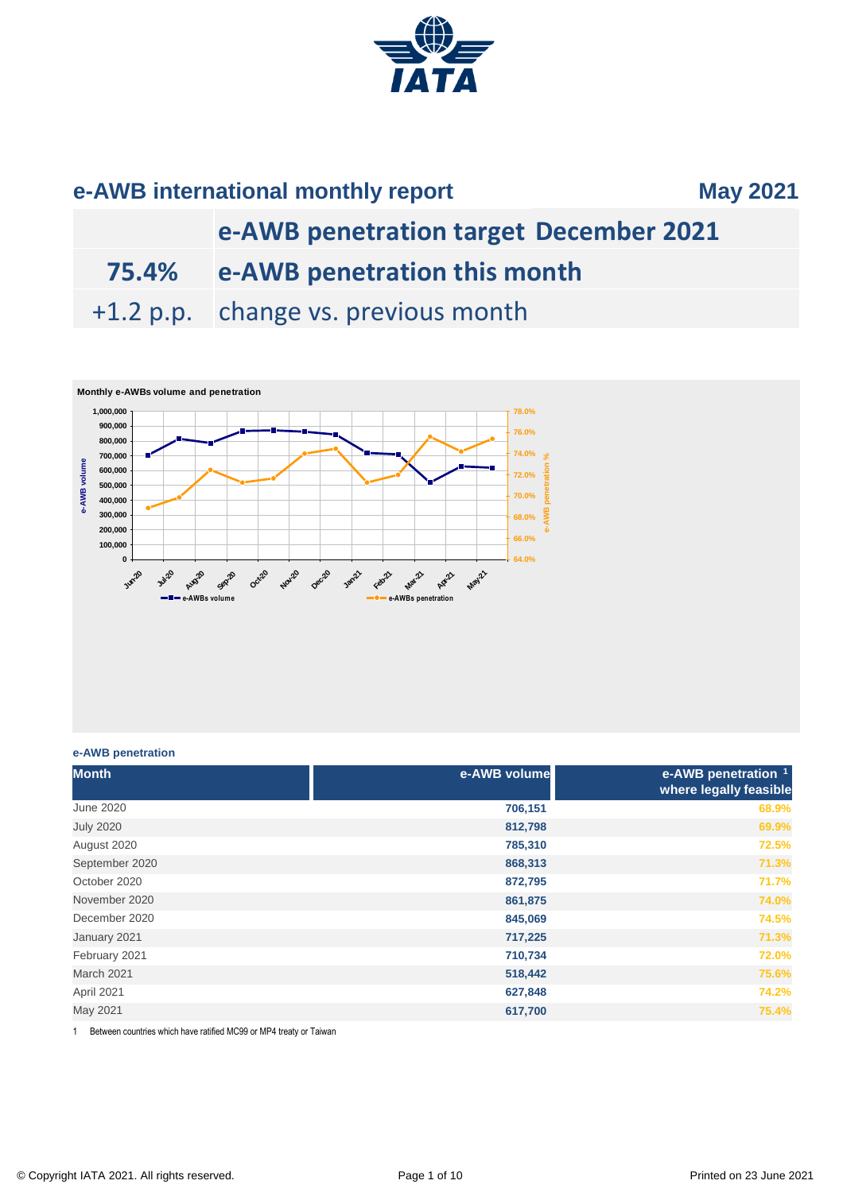

# **e-AWB penetration target December 2021**

**75.4% e-AWB penetration this month**

+1.2 p.p. change vs. previous month



### **e-AWB penetration**

| <b>Month</b>     | e-AWB volume | e-AWB penetration 1<br>where legally feasible |
|------------------|--------------|-----------------------------------------------|
| <b>June 2020</b> | 706,151      | 68.9%                                         |
| <b>July 2020</b> | 812,798      | 69.9%                                         |
| August 2020      | 785,310      | 72.5%                                         |
| September 2020   | 868,313      | 71.3%                                         |
| October 2020     | 872,795      | 71.7%                                         |
| November 2020    | 861,875      | 74.0%                                         |
| December 2020    | 845,069      | 74.5%                                         |
| January 2021     | 717,225      | 71.3%                                         |
| February 2021    | 710,734      | 72.0%                                         |
| March 2021       | 518,442      | 75.6%                                         |
| April 2021       | 627,848      | 74.2%                                         |
| May 2021         | 617,700      | 75.4%                                         |

1 Between countries which have ratified MC99 or MP4 treaty or Taiwan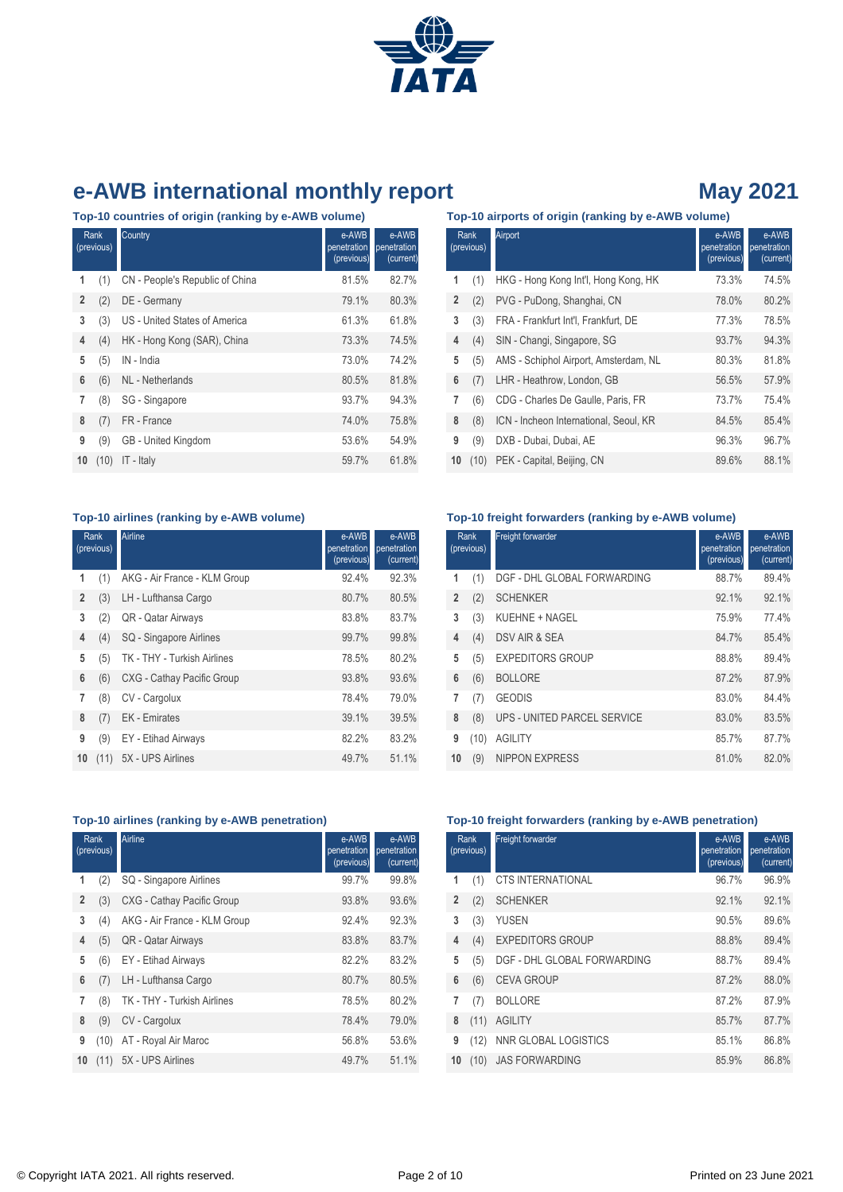

**Top-10 countries of origin (ranking by e-AWB volume)**

| Rank<br>(previous) |      | Country                         | e-AWB<br>penetration<br>(previous) | e-AWB<br>penetration<br>(current) |
|--------------------|------|---------------------------------|------------------------------------|-----------------------------------|
| 1                  | (1)  | CN - People's Republic of China | 81.5%                              | 82.7%                             |
| $\overline{2}$     | (2)  | DE - Germany                    | 79.1%                              | 80.3%                             |
| 3                  | (3)  | US - United States of America   | 61.3%                              | 61.8%                             |
| 4                  | (4)  | HK - Hong Kong (SAR), China     | 73.3%                              | 74.5%                             |
| 5                  | (5)  | IN - India                      | 73.0%                              | 74.2%                             |
| 6                  | (6)  | <b>NL</b> - Netherlands         | 80.5%                              | 81.8%                             |
| 7                  | (8)  | SG - Singapore                  | 93.7%                              | 94.3%                             |
| 8                  | (7)  | FR - France                     | 74.0%                              | 75.8%                             |
| 9                  | (9)  | GB - United Kingdom             | 53.6%                              | 54.9%                             |
| 10                 | (10) | IT - Italy                      | 59.7%                              | 61.8%                             |

| Top-10 airports of origin (ranking by e-AWB volume) |  |  |  |  |
|-----------------------------------------------------|--|--|--|--|
|-----------------------------------------------------|--|--|--|--|

|                | <b>Rank</b><br>(previous) | Airport                                | e-AWB<br>penetration<br>(previous) | e-AWB<br>penetration<br>(current) |
|----------------|---------------------------|----------------------------------------|------------------------------------|-----------------------------------|
| 1              | (1)                       | HKG - Hong Kong Int'l, Hong Kong, HK   | 73.3%                              | 74.5%                             |
| $\overline{2}$ | (2)                       | PVG - PuDong, Shanghai, CN             | 78.0%                              | 80.2%                             |
| 3              | (3)                       | FRA - Frankfurt Int'l, Frankfurt, DE   | 77.3%                              | 78.5%                             |
| 4              | (4)                       | SIN - Changi, Singapore, SG            | 93.7%                              | 94.3%                             |
| 5              | (5)                       | AMS - Schiphol Airport, Amsterdam, NL  | 80.3%                              | 81.8%                             |
| 6              | (7)                       | LHR - Heathrow, London, GB             | 56.5%                              | 57.9%                             |
| 7              | (6)                       | CDG - Charles De Gaulle, Paris, FR     | 73.7%                              | 75.4%                             |
| 8              | (8)                       | ICN - Incheon International, Seoul, KR | 84.5%                              | 85.4%                             |
| 9              | (9)                       | DXB - Dubai, Dubai, AE                 | 96.3%                              | 96.7%                             |
| 10             | (10)                      | PEK - Capital, Beijing, CN             | 89.6%                              | 88.1%                             |

### **Top-10 airlines (ranking by e-AWB volume)**

|                | Rank<br>(previous) | Airline                            | e-AWB<br>penetration<br>(previous) | e-AWB<br>penetration<br>(current) |
|----------------|--------------------|------------------------------------|------------------------------------|-----------------------------------|
| 1              | (1)                | AKG - Air France - KLM Group       | 92.4%                              | 92.3%                             |
| $\overline{2}$ | (3)                | LH - Lufthansa Cargo               | 80.7%                              | 80.5%                             |
| 3              | (2)                | QR - Qatar Airways                 | 83.8%                              | 83.7%                             |
| 4              | (4)                | SQ - Singapore Airlines            | 99.7%                              | 99.8%                             |
| 5              | (5)                | <b>TK - THY - Turkish Airlines</b> | 78.5%                              | 80.2%                             |
| 6              | (6)                | CXG - Cathay Pacific Group         | 93.8%                              | 93.6%                             |
| 7              | (8)                | CV - Cargolux                      | 78.4%                              | 79.0%                             |
| 8              | (7)                | <b>EK</b> - Emirates               | 39.1%                              | 39.5%                             |
| 9              | (9)                | EY - Etihad Airways                | 82.2%                              | 83.2%                             |
| 10             | (11)               | 5X - UPS Airlines                  | 49.7%                              | 51.1%                             |

### **Top-10 freight forwarders (ranking by e-AWB volume)**

|    | Rank<br>(previous) | Freight forwarder           | e-AWB<br>penetration<br>(previous) | e-AWB<br>penetration<br>(current) |
|----|--------------------|-----------------------------|------------------------------------|-----------------------------------|
| 1  | (1)                | DGF - DHL GLOBAL FORWARDING | 88.7%                              | 89.4%                             |
| 2  | (2)                | <b>SCHENKER</b>             | 92.1%                              | 92.1%                             |
| 3  | (3)                | KUEHNE + NAGEL              | 75.9%                              | 77.4%                             |
| 4  | (4)                | DSV AIR & SEA               | 84.7%                              | 85.4%                             |
| 5  | (5)                | <b>EXPEDITORS GROUP</b>     | 88.8%                              | 89.4%                             |
| 6  | (6)                | <b>BOLLORE</b>              | 87.2%                              | 87.9%                             |
| 7  | (7)                | <b>GEODIS</b>               | 83.0%                              | 84.4%                             |
| 8  | (8)                | UPS - UNITED PARCEL SERVICE | 83.0%                              | 83.5%                             |
| 9  | (10)               | <b>AGILITY</b>              | 85.7%                              | 87.7%                             |
| 10 | (9)                | <b>NIPPON EXPRESS</b>       | 81.0%                              | 82.0%                             |

### **Top-10 airlines (ranking by e-AWB penetration)**

|                | Rank<br>(previous) | Airline                      | e-AWB<br>penetration<br>(previous) | e-AWB<br>penetration<br>(current) |
|----------------|--------------------|------------------------------|------------------------------------|-----------------------------------|
| 1              | (2)                | SQ - Singapore Airlines      | 99.7%                              | 99.8%                             |
| $\overline{2}$ | (3)                | CXG - Cathay Pacific Group   | 93.8%                              | 93.6%                             |
| 3              | (4)                | AKG - Air France - KLM Group | 92.4%                              | 92.3%                             |
| 4              | (5)                | QR - Qatar Airways           | 83.8%                              | 83.7%                             |
| 5              | (6)                | EY - Etihad Airways          | 82.2%                              | 83.2%                             |
| 6              | (7)                | LH - Lufthansa Cargo         | 80.7%                              | 80.5%                             |
| 7              | (8)                | TK - THY - Turkish Airlines  | 78.5%                              | 80.2%                             |
| 8              | (9)                | CV - Cargolux                | 78.4%                              | 79.0%                             |
| 9              | (10)               | AT - Royal Air Maroc         | 56.8%                              | 53.6%                             |
| 10             | (11)               | 5X - UPS Airlines            | 49.7%                              | 51.1%                             |

### **Top-10 freight forwarders (ranking by e-AWB penetration)**

|    | Rank<br>(previous) | <b>Freight forwarder</b>    | e-AWB<br>penetration<br>(previous) | e-AWB<br>penetration<br>(current) |
|----|--------------------|-----------------------------|------------------------------------|-----------------------------------|
| 1  | (1)                | <b>CTS INTERNATIONAL</b>    | 96.7%                              | 96.9%                             |
| 2  | (2)                | <b>SCHENKER</b>             | 92.1%                              | 92.1%                             |
| 3  | (3)                | <b>YUSEN</b>                | 90.5%                              | 89.6%                             |
| 4  | (4)                | <b>EXPEDITORS GROUP</b>     | 88.8%                              | 89.4%                             |
| 5  | (5)                | DGF - DHL GLOBAL FORWARDING | 88.7%                              | 89.4%                             |
| 6  | (6)                | <b>CEVA GROUP</b>           | 87.2%                              | 88.0%                             |
| 7  | (7)                | <b>BOLLORE</b>              | 87.2%                              | 87.9%                             |
| 8  | (11)               | <b>AGILITY</b>              | 85.7%                              | 87.7%                             |
| 9  | (12)               | NNR GLOBAL LOGISTICS        | 85.1%                              | 86.8%                             |
| 10 | (10)               | <b>JAS FORWARDING</b>       | 85.9%                              | 86.8%                             |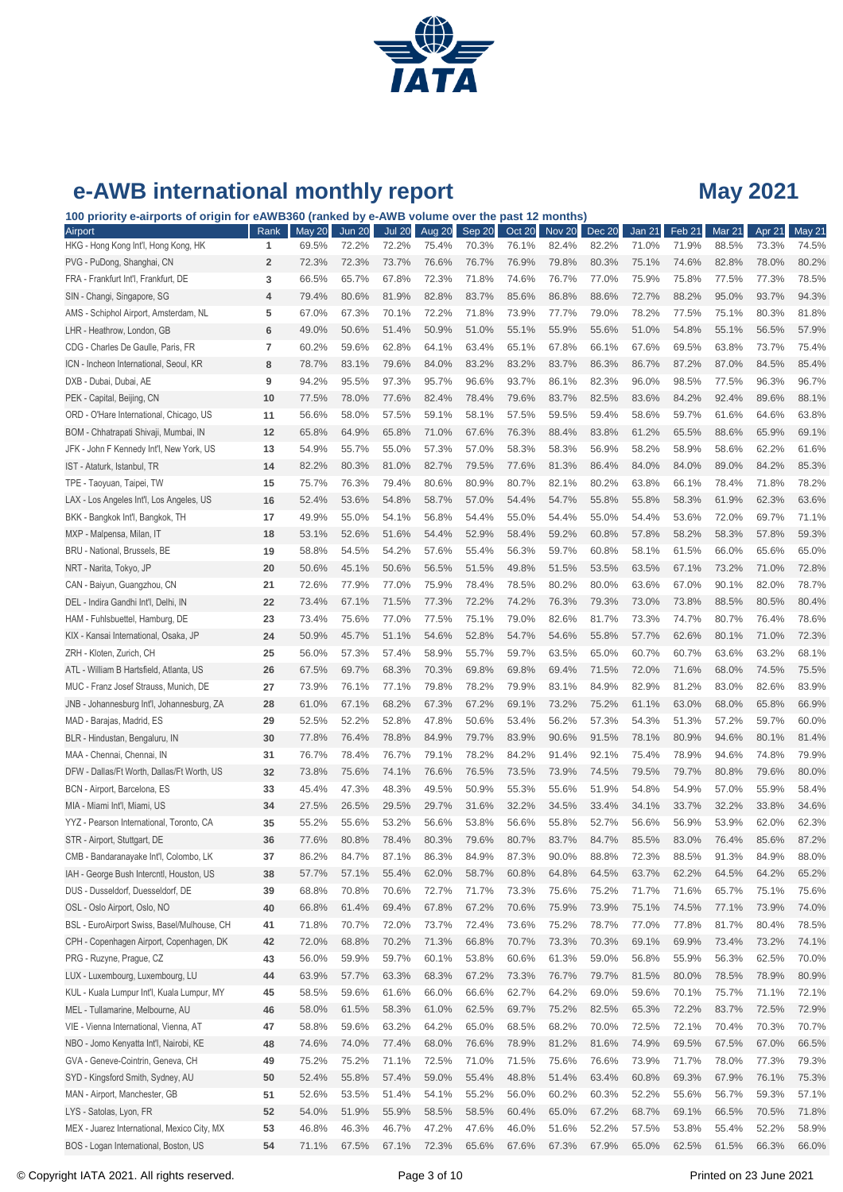

| e-AWB international monthly report                                                             |           |                        |                        |                        |                 |                 |                 |                        |                        |                 |                            | <b>May 2021</b>        |                 |                 |
|------------------------------------------------------------------------------------------------|-----------|------------------------|------------------------|------------------------|-----------------|-----------------|-----------------|------------------------|------------------------|-----------------|----------------------------|------------------------|-----------------|-----------------|
| 100 priority e-airports of origin for eAWB360 (ranked by e-AWB volume over the past 12 months) |           |                        |                        |                        |                 |                 |                 |                        |                        |                 |                            |                        |                 |                 |
| Airport<br>HKG - Hong Kong Int'l, Hong Kong, HK                                                | Rank<br>1 | <b>May 20</b><br>69.5% | <b>Jun 20</b><br>72.2% | <b>Jul 20</b><br>72.2% | Aug 20<br>75.4% | Sep 20<br>70.3% | Oct 20<br>76.1% | <b>Nov 20</b><br>82.4% | <b>Dec 20</b><br>82.2% | Jan 21<br>71.0% | Feb <sub>21</sub><br>71.9% | <b>Mar 21</b><br>88.5% | Apr 21<br>73.3% | May 21<br>74.5% |
| PVG - PuDong, Shanghai, CN                                                                     | 2         | 72.3%                  | 72.3%                  | 73.7%                  | 76.6%           | 76.7%           | 76.9%           | 79.8%                  | 80.3%                  | 75.1%           | 74.6%                      | 82.8%                  | 78.0%           | 80.2%           |
| FRA - Frankfurt Int'l, Frankfurt, DE                                                           | 3         | 66.5%                  | 65.7%                  | 67.8%                  | 72.3%           | 71.8%           | 74.6%           | 76.7%                  | 77.0%                  | 75.9%           | 75.8%                      | 77.5%                  | 77.3%           | 78.5%           |
| SIN - Changi, Singapore, SG                                                                    | 4         | 79.4%                  | 80.6%                  | 81.9%                  | 82.8%           | 83.7%           | 85.6%           | 86.8%                  | 88.6%                  | 72.7%           | 88.2%                      | 95.0%                  | 93.7%           | 94.3%           |
| AMS - Schiphol Airport, Amsterdam, NL                                                          | 5         | 67.0%                  | 67.3%                  | 70.1%                  | 72.2%           | 71.8%           | 73.9%           | 77.7%                  | 79.0%                  | 78.2%           | 77.5%                      | 75.1%                  | 80.3%           | 81.8%           |
| LHR - Heathrow, London, GB                                                                     | 6         | 49.0%                  | 50.6%                  | 51.4%                  | 50.9%           | 51.0%           | 55.1%           | 55.9%                  | 55.6%                  | 51.0%           | 54.8%                      | 55.1%                  | 56.5%           | 57.9%           |
| CDG - Charles De Gaulle, Paris, FR                                                             | 7         | 60.2%                  | 59.6%                  | 62.8%                  | 64.1%           | 63.4%           | 65.1%           | 67.8%                  | 66.1%                  | 67.6%           | 69.5%                      | 63.8%                  | 73.7%           | 75.4%           |
| ICN - Incheon International, Seoul, KR                                                         | 8         | 78.7%                  | 83.1%                  | 79.6%                  | 84.0%           | 83.2%           | 83.2%           | 83.7%                  | 86.3%                  | 86.7%           | 87.2%                      | 87.0%                  | 84.5%           | 85.4%           |
| DXB - Dubai, Dubai, AE                                                                         | 9         | 94.2%                  | 95.5%                  | 97.3%                  | 95.7%           | 96.6%           | 93.7%           | 86.1%                  | 82.3%                  | 96.0%           | 98.5%                      | 77.5%                  | 96.3%           | 96.7%           |
| PEK - Capital, Beijing, CN                                                                     | 10        | 77.5%                  | 78.0%                  | 77.6%                  | 82.4%           | 78.4%           | 79.6%           | 83.7%                  | 82.5%                  | 83.6%           | 84.2%                      | 92.4%                  | 89.6%           | 88.1%           |
| ORD - O'Hare International, Chicago, US                                                        | 11        | 56.6%                  | 58.0%                  | 57.5%                  | 59.1%           | 58.1%           | 57.5%           | 59.5%                  | 59.4%                  | 58.6%           | 59.7%                      | 61.6%                  | 64.6%           | 63.8%           |
| BOM - Chhatrapati Shivaji, Mumbai, IN                                                          | 12        | 65.8%                  | 64.9%                  | 65.8%                  | 71.0%           | 67.6%           | 76.3%           | 88.4%                  | 83.8%                  | 61.2%           | 65.5%                      | 88.6%                  | 65.9%           | 69.1%           |
| JFK - John F Kennedy Int'l, New York, US                                                       | 13        | 54.9%                  | 55.7%                  | 55.0%                  | 57.3%           | 57.0%           | 58.3%           | 58.3%                  | 56.9%                  | 58.2%           | 58.9%                      | 58.6%                  | 62.2%           | 61.6%           |
| IST - Ataturk, Istanbul, TR                                                                    | 14        | 82.2%                  | 80.3%                  | 81.0%                  | 82.7%           | 79.5%           | 77.6%           | 81.3%                  | 86.4%                  | 84.0%           | 84.0%                      | 89.0%                  | 84.2%           | 85.3%           |
| TPE - Taoyuan, Taipei, TW                                                                      | 15        | 75.7%                  | 76.3%                  | 79.4%                  | 80.6%           | 80.9%           | 80.7%           | 82.1%                  | 80.2%                  | 63.8%           | 66.1%                      | 78.4%                  | 71.8%           | 78.2%           |
| LAX - Los Angeles Int'l, Los Angeles, US                                                       | 16        | 52.4%                  | 53.6%                  | 54.8%                  | 58.7%           | 57.0%           | 54.4%           | 54.7%                  | 55.8%                  | 55.8%           | 58.3%                      | 61.9%                  | 62.3%           | 63.6%           |
| BKK - Bangkok Int'l, Bangkok, TH                                                               | 17        | 49.9%                  | 55.0%                  | 54.1%                  | 56.8%           | 54.4%           | 55.0%           | 54.4%                  | 55.0%                  | 54.4%           | 53.6%                      | 72.0%                  | 69.7%           | 71.1%           |
| MXP - Malpensa, Milan, IT                                                                      | 18        | 53.1%                  | 52.6%                  | 51.6%                  | 54.4%           | 52.9%           | 58.4%           | 59.2%                  | 60.8%                  | 57.8%           | 58.2%                      | 58.3%                  | 57.8%           | 59.3%           |
| BRU - National, Brussels, BE                                                                   | 19        | 58.8%                  | 54.5%                  | 54.2%                  | 57.6%           | 55.4%           | 56.3%           | 59.7%                  | 60.8%                  | 58.1%           | 61.5%                      | 66.0%                  | 65.6%           | 65.0%           |
| NRT - Narita, Tokyo, JP                                                                        | 20        | 50.6%                  | 45.1%                  | 50.6%                  | 56.5%           | 51.5%           | 49.8%           | 51.5%                  | 53.5%                  | 63.5%           | 67.1%                      | 73.2%                  | 71.0%           | 72.8%           |
| CAN - Baiyun, Guangzhou, CN                                                                    | 21        | 72.6%                  | 77.9%                  | 77.0%                  | 75.9%           | 78.4%           | 78.5%           | 80.2%                  | 80.0%                  | 63.6%           | 67.0%                      | 90.1%                  | 82.0%           | 78.7%           |
| DEL - Indira Gandhi Int'l, Delhi, IN                                                           | 22        | 73.4%                  | 67.1%                  | 71.5%                  | 77.3%           | 72.2%           | 74.2%           | 76.3%                  | 79.3%                  | 73.0%           | 73.8%                      | 88.5%                  | 80.5%           | 80.4%           |
| HAM - Fuhlsbuettel, Hamburg, DE                                                                | 23        | 73.4%                  | 75.6%                  | 77.0%                  | 77.5%           | 75.1%           | 79.0%           | 82.6%                  | 81.7%                  | 73.3%           | 74.7%                      | 80.7%                  | 76.4%           | 78.6%           |
| KIX - Kansai International, Osaka, JP                                                          | 24        | 50.9%                  | 45.7%                  | 51.1%                  | 54.6%           | 52.8%           | 54.7%           | 54.6%                  | 55.8%                  | 57.7%           | 62.6%                      | 80.1%                  | 71.0%           | 72.3%           |
| ZRH - Kloten, Zurich, CH                                                                       | 25        | 56.0%                  | 57.3%                  | 57.4%                  | 58.9%           | 55.7%           | 59.7%           | 63.5%                  | 65.0%                  | 60.7%           | 60.7%                      | 63.6%                  | 63.2%           | 68.1%           |
| ATL - William B Hartsfield, Atlanta, US                                                        | 26        | 67.5%                  | 69.7%                  | 68.3%                  | 70.3%           | 69.8%           | 69.8%           | 69.4%                  | 71.5%                  | 72.0%           | 71.6%                      | 68.0%                  | 74.5%           | 75.5%           |
| MUC - Franz Josef Strauss, Munich, DE                                                          | 27        | 73.9%                  | 76.1%                  | 77.1%                  | 79.8%           | 78.2%           | 79.9%           | 83.1%                  | 84.9%                  | 82.9%           | 81.2%                      | 83.0%                  | 82.6%           | 83.9%           |
| JNB - Johannesburg Int'l, Johannesburg, ZA                                                     | 28        | 61.0%                  | 67.1%                  | 68.2%                  | 67.3%           | 67.2%           | 69.1%           | 73.2%                  | 75.2%                  | 61.1%           | 63.0%                      | 68.0%                  | 65.8%           | 66.9%           |
| MAD - Barajas, Madrid, ES                                                                      | 29        | 52.5%                  | 52.2%                  | 52.8%                  | 47.8%           | 50.6%           | 53.4%           | 56.2%                  | 57.3%                  | 54.3%           | 51.3%                      | 57.2%                  | 59.7%           | 60.0%           |
| BLR - Hindustan, Bengaluru, IN                                                                 | 30        | 77.8%                  | 76.4%                  | 78.8%                  | 84.9%           | 79.7%           | 83.9%           | 90.6%                  | 91.5%                  | 78.1%           | 80.9%                      | 94.6%                  | 80.1%           | 81.4%           |
| MAA - Chennai, Chennai, IN                                                                     | 31        | 76.7%                  | 78.4%                  | 76.7%                  | 79.1%           | 78.2%           | 84.2%           | 91.4%                  | 92.1%                  | 75.4%           | 78.9%                      | 94.6%                  | 74.8%           | 79.9%           |
| DFW - Dallas/Ft Worth, Dallas/Ft Worth, US                                                     | 32        | 73.8%                  | 75.6%                  | 74.1%                  | 76.6%           | 76.5%           | 73.5%           | 73.9%                  | 74.5%                  | 79.5%           | 79.7%                      | 80.8%                  | 79.6%           | 80.0%           |
| BCN - Airport, Barcelona, ES                                                                   | 33        | 45.4%                  | 47.3%                  | 48.3%                  | 49.5%           | 50.9%           | 55.3%           | 55.6%                  | 51.9%                  | 54.8%           | 54.9%                      | 57.0%                  | 55.9%           | 58.4%           |
| MIA - Miami Int'l, Miami, US                                                                   | 34        | 27.5%                  | 26.5%                  | 29.5%                  | 29.7%           | 31.6%           | 32.2%           | 34.5%                  | 33.4%                  | 34.1%           | 33.7%                      | 32.2%                  | 33.8%           | 34.6%           |
| YYZ - Pearson International, Toronto, CA                                                       | 35        | 55.2%                  | 55.6%                  | 53.2%                  | 56.6%           | 53.8%           | 56.6%           | 55.8%                  | 52.7%                  | 56.6%           | 56.9%                      | 53.9%                  | 62.0%           | 62.3%           |
| STR - Airport, Stuttgart, DE                                                                   | 36        | 77.6%                  | 80.8%                  | 78.4%                  | 80.3%           | 79.6%           | 80.7%           | 83.7%                  | 84.7%                  | 85.5%           | 83.0%                      | 76.4%                  | 85.6%           | 87.2%           |
| CMB - Bandaranayake Int'l, Colombo, LK                                                         | 37        | 86.2%                  | 84.7%                  | 87.1%                  | 86.3%           | 84.9%           | 87.3%           | 90.0%                  | 88.8%                  | 72.3%           | 88.5%                      | 91.3%                  | 84.9%           | 88.0%           |
| IAH - George Bush Intercntl, Houston, US                                                       | 38        | 57.7%                  | 57.1%                  | 55.4%                  | 62.0%           | 58.7%           | 60.8%           | 64.8%                  | 64.5%                  | 63.7%           | 62.2%                      | 64.5%                  | 64.2%           | 65.2%           |
| DUS - Dusseldorf, Duesseldorf, DE                                                              | 39        | 68.8%                  | 70.8%                  | 70.6%                  | 72.7%           | 71.7%           | 73.3%           | 75.6%                  | 75.2%                  | 71.7%           | 71.6%                      | 65.7%                  | 75.1%           | 75.6%           |
| OSL - Oslo Airport, Oslo, NO                                                                   | 40        | 66.8%                  | 61.4%                  | 69.4%                  | 67.8%           | 67.2%           | 70.6%           | 75.9%                  | 73.9%                  | 75.1%           | 74.5%                      | 77.1%                  | 73.9%           | 74.0%           |
| BSL - EuroAirport Swiss, Basel/Mulhouse, CH                                                    | 41        | 71.8%                  | 70.7%                  | 72.0%                  | 73.7%           | 72.4%           | 73.6%           | 75.2%                  | 78.7%                  | 77.0%           | 77.8%                      | 81.7%                  | 80.4%           | 78.5%           |
| CPH - Copenhagen Airport, Copenhagen, DK                                                       | 42        | 72.0%                  | 68.8%                  | 70.2%                  | 71.3%           | 66.8%           | 70.7%           | 73.3%                  | 70.3%                  | 69.1%           | 69.9%                      | 73.4%                  | 73.2%           | 74.1%           |
| PRG - Ruzyne, Prague, CZ                                                                       | 43        | 56.0%                  | 59.9%                  | 59.7%                  | 60.1%           | 53.8%           | 60.6%           | 61.3%                  | 59.0%                  | 56.8%           | 55.9%                      | 56.3%                  | 62.5%           | 70.0%           |
| LUX - Luxembourg, Luxembourg, LU                                                               | 44        | 63.9%                  | 57.7%                  | 63.3%                  | 68.3%           | 67.2%           | 73.3%           | 76.7%                  | 79.7%                  | 81.5%           | 80.0%                      | 78.5%                  | 78.9%           | 80.9%           |
| KUL - Kuala Lumpur Int'l, Kuala Lumpur, MY                                                     | 45        | 58.5%                  | 59.6%                  | 61.6%                  | 66.0%           | 66.6%           | 62.7%           | 64.2%                  | 69.0%                  | 59.6%           | 70.1%                      | 75.7%                  | 71.1%           | 72.1%           |
| MEL - Tullamarine, Melbourne, AU                                                               | 46        | 58.0%                  | 61.5%                  | 58.3%                  | 61.0%           | 62.5%           | 69.7%           | 75.2%                  | 82.5%                  | 65.3%           | 72.2%                      | 83.7%                  | 72.5%           | 72.9%           |
| VIE - Vienna International, Vienna, AT                                                         | 47        | 58.8%                  | 59.6%                  | 63.2%                  | 64.2%           | 65.0%           | 68.5%           | 68.2%                  | 70.0%                  | 72.5%           | 72.1%                      | 70.4%                  | 70.3%           | 70.7%           |
| NBO - Jomo Kenyatta Int'l, Nairobi, KE                                                         | 48        | 74.6%                  | 74.0%                  | 77.4%                  | 68.0%           | 76.6%           | 78.9%           | 81.2%                  | 81.6%                  | 74.9%           | 69.5%                      | 67.5%                  | 67.0%           | 66.5%           |
| GVA - Geneve-Cointrin, Geneva, CH                                                              | 49        | 75.2%                  | 75.2%                  | 71.1%                  | 72.5%           | 71.0%           | 71.5%           | 75.6%                  | 76.6%                  | 73.9%           | 71.7%                      | 78.0%                  | 77.3%           | 79.3%           |
| SYD - Kingsford Smith, Sydney, AU                                                              | 50        | 52.4%                  | 55.8%                  | 57.4%                  | 59.0%           | 55.4%           | 48.8%           | 51.4%                  | 63.4%                  | 60.8%           | 69.3%                      | 67.9%                  | 76.1%           | 75.3%           |
| MAN - Airport, Manchester, GB                                                                  | 51        | 52.6%                  | 53.5%                  | 51.4%                  | 54.1%           | 55.2%           | 56.0%           | 60.2%                  | 60.3%                  | 52.2%           | 55.6%                      | 56.7%                  | 59.3%           | 57.1%           |

LYS - Satolas, Lyon, FR **52** 54.0% 51.9% 55.9% 58.5% 58.5% 60.4% 65.0% 67.2% 68.7% 69.1% 66.5% 70.5% 71.8% MEX - Juarez International, Mexico City, MX **53** 46.8% 46.3% 46.7% 47.2% 47.6% 46.0% 51.6% 52.2% 57.5% 53.8% 55.4% 52.2% 58.9% BOS - Logan International, Boston, US **54** 71.1% 67.5% 67.1% 72.3% 65.6% 67.6% 67.3% 67.9% 65.0% 62.5% 61.5% 66.3% 66.0%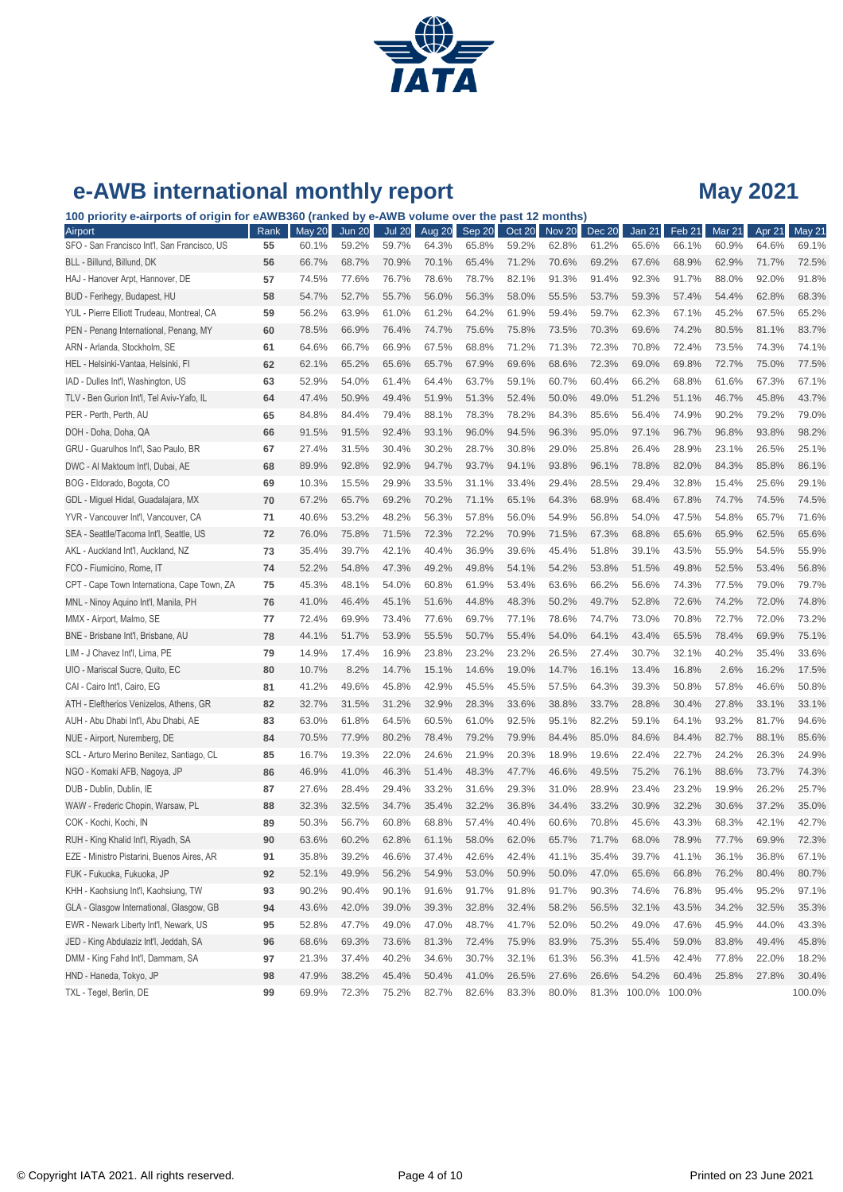

**100 priority e-airports of origin for eAWB360 (ranked by e-AWB volume over the past 12 months)**

| Airport                                      | Rank | <b>May 20</b> | <b>Jun 20</b> | <b>Jul 20</b> | Aug 20 | Sep 20 | Oct 20 | Nov <sub>20</sub> | <b>Dec 20</b> | Jan 21              | Feb 21 | Mar 21 | Apr 21 | <b>May 21</b> |
|----------------------------------------------|------|---------------|---------------|---------------|--------|--------|--------|-------------------|---------------|---------------------|--------|--------|--------|---------------|
| SFO - San Francisco Int'l, San Francisco, US | 55   | 60.1%         | 59.2%         | 59.7%         | 64.3%  | 65.8%  | 59.2%  | 62.8%             | 61.2%         | 65.6%               | 66.1%  | 60.9%  | 64.6%  | 69.1%         |
| BLL - Billund, Billund, DK                   | 56   | 66.7%         | 68.7%         | 70.9%         | 70.1%  | 65.4%  | 71.2%  | 70.6%             | 69.2%         | 67.6%               | 68.9%  | 62.9%  | 71.7%  | 72.5%         |
| HAJ - Hanover Arpt, Hannover, DE             | 57   | 74.5%         | 77.6%         | 76.7%         | 78.6%  | 78.7%  | 82.1%  | 91.3%             | 91.4%         | 92.3%               | 91.7%  | 88.0%  | 92.0%  | 91.8%         |
| BUD - Ferihegy, Budapest, HU                 | 58   | 54.7%         | 52.7%         | 55.7%         | 56.0%  | 56.3%  | 58.0%  | 55.5%             | 53.7%         | 59.3%               | 57.4%  | 54.4%  | 62.8%  | 68.3%         |
| YUL - Pierre Elliott Trudeau, Montreal, CA   | 59   | 56.2%         | 63.9%         | 61.0%         | 61.2%  | 64.2%  | 61.9%  | 59.4%             | 59.7%         | 62.3%               | 67.1%  | 45.2%  | 67.5%  | 65.2%         |
| PEN - Penang International, Penang, MY       | 60   | 78.5%         | 66.9%         | 76.4%         | 74.7%  | 75.6%  | 75.8%  | 73.5%             | 70.3%         | 69.6%               | 74.2%  | 80.5%  | 81.1%  | 83.7%         |
| ARN - Arlanda, Stockholm, SE                 | 61   | 64.6%         | 66.7%         | 66.9%         | 67.5%  | 68.8%  | 71.2%  | 71.3%             | 72.3%         | 70.8%               | 72.4%  | 73.5%  | 74.3%  | 74.1%         |
| HEL - Helsinki-Vantaa, Helsinki, Fl          | 62   | 62.1%         | 65.2%         | 65.6%         | 65.7%  | 67.9%  | 69.6%  | 68.6%             | 72.3%         | 69.0%               | 69.8%  | 72.7%  | 75.0%  | 77.5%         |
| IAD - Dulles Int'l, Washington, US           | 63   | 52.9%         | 54.0%         | 61.4%         | 64.4%  | 63.7%  | 59.1%  | 60.7%             | 60.4%         | 66.2%               | 68.8%  | 61.6%  | 67.3%  | 67.1%         |
| TLV - Ben Gurion Int'l, Tel Aviv-Yafo, IL    | 64   | 47.4%         | 50.9%         | 49.4%         | 51.9%  | 51.3%  | 52.4%  | 50.0%             | 49.0%         | 51.2%               | 51.1%  | 46.7%  | 45.8%  | 43.7%         |
| PER - Perth, Perth, AU                       | 65   | 84.8%         | 84.4%         | 79.4%         | 88.1%  | 78.3%  | 78.2%  | 84.3%             | 85.6%         | 56.4%               | 74.9%  | 90.2%  | 79.2%  | 79.0%         |
| DOH - Doha, Doha, QA                         | 66   | 91.5%         | 91.5%         | 92.4%         | 93.1%  | 96.0%  | 94.5%  | 96.3%             | 95.0%         | 97.1%               | 96.7%  | 96.8%  | 93.8%  | 98.2%         |
| GRU - Guarulhos Int'l, Sao Paulo, BR         | 67   | 27.4%         | 31.5%         | 30.4%         | 30.2%  | 28.7%  | 30.8%  | 29.0%             | 25.8%         | 26.4%               | 28.9%  | 23.1%  | 26.5%  | 25.1%         |
| DWC - Al Maktoum Int'l, Dubai, AE            | 68   | 89.9%         | 92.8%         | 92.9%         | 94.7%  | 93.7%  | 94.1%  | 93.8%             | 96.1%         | 78.8%               | 82.0%  | 84.3%  | 85.8%  | 86.1%         |
| BOG - Eldorado, Bogota, CO                   | 69   | 10.3%         | 15.5%         | 29.9%         | 33.5%  | 31.1%  | 33.4%  | 29.4%             | 28.5%         | 29.4%               | 32.8%  | 15.4%  | 25.6%  | 29.1%         |
| GDL - Miguel Hidal, Guadalajara, MX          | 70   | 67.2%         | 65.7%         | 69.2%         | 70.2%  | 71.1%  | 65.1%  | 64.3%             | 68.9%         | 68.4%               | 67.8%  | 74.7%  | 74.5%  | 74.5%         |
| YVR - Vancouver Int'l, Vancouver, CA         | 71   | 40.6%         | 53.2%         | 48.2%         | 56.3%  | 57.8%  | 56.0%  | 54.9%             | 56.8%         | 54.0%               | 47.5%  | 54.8%  | 65.7%  | 71.6%         |
| SEA - Seattle/Tacoma Int'l, Seattle, US      | 72   | 76.0%         | 75.8%         | 71.5%         | 72.3%  | 72.2%  | 70.9%  | 71.5%             | 67.3%         | 68.8%               | 65.6%  | 65.9%  | 62.5%  | 65.6%         |
| AKL - Auckland Int'l, Auckland, NZ           | 73   | 35.4%         | 39.7%         | 42.1%         | 40.4%  | 36.9%  | 39.6%  | 45.4%             | 51.8%         | 39.1%               | 43.5%  | 55.9%  | 54.5%  | 55.9%         |
| FCO - Fiumicino, Rome, IT                    | 74   | 52.2%         | 54.8%         | 47.3%         | 49.2%  | 49.8%  | 54.1%  | 54.2%             | 53.8%         | 51.5%               | 49.8%  | 52.5%  | 53.4%  | 56.8%         |
| CPT - Cape Town Internationa, Cape Town, ZA  | 75   | 45.3%         | 48.1%         | 54.0%         | 60.8%  | 61.9%  | 53.4%  | 63.6%             | 66.2%         | 56.6%               | 74.3%  | 77.5%  | 79.0%  | 79.7%         |
| MNL - Ninoy Aquino Int'l, Manila, PH         | 76   | 41.0%         | 46.4%         | 45.1%         | 51.6%  | 44.8%  | 48.3%  | 50.2%             | 49.7%         | 52.8%               | 72.6%  | 74.2%  | 72.0%  | 74.8%         |
| MMX - Airport, Malmo, SE                     | 77   | 72.4%         | 69.9%         | 73.4%         | 77.6%  | 69.7%  | 77.1%  | 78.6%             | 74.7%         | 73.0%               | 70.8%  | 72.7%  | 72.0%  | 73.2%         |
| BNE - Brisbane Int'l, Brisbane, AU           | 78   | 44.1%         | 51.7%         | 53.9%         | 55.5%  | 50.7%  | 55.4%  | 54.0%             | 64.1%         | 43.4%               | 65.5%  | 78.4%  | 69.9%  | 75.1%         |
| LIM - J Chavez Int'l, Lima, PE               | 79   | 14.9%         | 17.4%         | 16.9%         | 23.8%  | 23.2%  | 23.2%  | 26.5%             | 27.4%         | 30.7%               | 32.1%  | 40.2%  | 35.4%  | 33.6%         |
| UIO - Mariscal Sucre, Quito, EC              | 80   | 10.7%         | 8.2%          | 14.7%         | 15.1%  | 14.6%  | 19.0%  | 14.7%             | 16.1%         | 13.4%               | 16.8%  | 2.6%   | 16.2%  | 17.5%         |
| CAI - Cairo Int'l, Cairo, EG                 | 81   | 41.2%         | 49.6%         | 45.8%         | 42.9%  | 45.5%  | 45.5%  | 57.5%             | 64.3%         | 39.3%               | 50.8%  | 57.8%  | 46.6%  | 50.8%         |
| ATH - Eleftherios Venizelos, Athens, GR      | 82   | 32.7%         | 31.5%         | 31.2%         | 32.9%  | 28.3%  | 33.6%  | 38.8%             | 33.7%         | 28.8%               | 30.4%  | 27.8%  | 33.1%  | 33.1%         |
| AUH - Abu Dhabi Int'l, Abu Dhabi, AE         | 83   | 63.0%         | 61.8%         | 64.5%         | 60.5%  | 61.0%  | 92.5%  | 95.1%             | 82.2%         | 59.1%               | 64.1%  | 93.2%  | 81.7%  | 94.6%         |
| NUE - Airport, Nuremberg, DE                 | 84   | 70.5%         | 77.9%         | 80.2%         | 78.4%  | 79.2%  | 79.9%  | 84.4%             | 85.0%         | 84.6%               | 84.4%  | 82.7%  | 88.1%  | 85.6%         |
| SCL - Arturo Merino Benitez, Santiago, CL    | 85   | 16.7%         | 19.3%         | 22.0%         | 24.6%  | 21.9%  | 20.3%  | 18.9%             | 19.6%         | 22.4%               | 22.7%  | 24.2%  | 26.3%  | 24.9%         |
| NGO - Komaki AFB, Nagoya, JP                 | 86   | 46.9%         | 41.0%         | 46.3%         | 51.4%  | 48.3%  | 47.7%  | 46.6%             | 49.5%         | 75.2%               | 76.1%  | 88.6%  | 73.7%  | 74.3%         |
| DUB - Dublin, Dublin, IE                     | 87   | 27.6%         | 28.4%         | 29.4%         | 33.2%  | 31.6%  | 29.3%  | 31.0%             | 28.9%         | 23.4%               | 23.2%  | 19.9%  | 26.2%  | 25.7%         |
| WAW - Frederic Chopin, Warsaw, PL            | 88   | 32.3%         | 32.5%         | 34.7%         | 35.4%  | 32.2%  | 36.8%  | 34.4%             | 33.2%         | 30.9%               | 32.2%  | 30.6%  | 37.2%  | 35.0%         |
| COK - Kochi, Kochi, IN                       | 89   | 50.3%         | 56.7%         | 60.8%         | 68.8%  | 57.4%  | 40.4%  | 60.6%             | 70.8%         | 45.6%               | 43.3%  | 68.3%  | 42.1%  | 42.7%         |
| RUH - King Khalid Int'l, Riyadh, SA          | 90   | 63.6%         | 60.2%         | 62.8%         | 61.1%  | 58.0%  | 62.0%  | 65.7%             | 71.7%         | 68.0%               | 78.9%  | 77.7%  | 69.9%  | 72.3%         |
| EZE - Ministro Pistarini, Buenos Aires, AR   | 91   | 35.8%         | 39.2%         | 46.6%         | 37.4%  | 42.6%  | 42.4%  | 41.1%             | 35.4%         | 39.7%               | 41.1%  | 36.1%  | 36.8%  | 67.1%         |
| FUK - Fukuoka, Fukuoka, JP                   | 92   | 52.1%         | 49.9%         | 56.2%         | 54.9%  | 53.0%  | 50.9%  | 50.0%             | 47.0%         | 65.6%               | 66.8%  | 76.2%  | 80.4%  | 80.7%         |
| KHH - Kaohsiung Int'l, Kaohsiung, TW         | 93   | 90.2%         | 90.4%         | 90.1%         | 91.6%  | 91.7%  | 91.8%  | 91.7%             | 90.3%         | 74.6%               | 76.8%  | 95.4%  | 95.2%  | 97.1%         |
| GLA - Glasgow International, Glasgow, GB     | 94   | 43.6%         | 42.0%         | 39.0%         | 39.3%  | 32.8%  | 32.4%  | 58.2%             | 56.5%         | 32.1%               | 43.5%  | 34.2%  | 32.5%  | 35.3%         |
| EWR - Newark Liberty Int'l, Newark, US       | 95   | 52.8%         | 47.7%         | 49.0%         | 47.0%  | 48.7%  | 41.7%  | 52.0%             | 50.2%         | 49.0%               | 47.6%  | 45.9%  | 44.0%  | 43.3%         |
| JED - King Abdulaziz Int'l, Jeddah, SA       | 96   | 68.6%         | 69.3%         | 73.6%         | 81.3%  | 72.4%  | 75.9%  | 83.9%             | 75.3%         | 55.4%               | 59.0%  | 83.8%  | 49.4%  | 45.8%         |
| DMM - King Fahd Int'l, Dammam, SA            | 97   | 21.3%         | 37.4%         | 40.2%         | 34.6%  | 30.7%  | 32.1%  | 61.3%             | 56.3%         | 41.5%               | 42.4%  | 77.8%  | 22.0%  | 18.2%         |
| HND - Haneda, Tokyo, JP                      | 98   | 47.9%         | 38.2%         | 45.4%         | 50.4%  | 41.0%  | 26.5%  | 27.6%             | 26.6%         | 54.2%               | 60.4%  | 25.8%  | 27.8%  | 30.4%         |
| TXL - Tegel, Berlin, DE                      | 99   | 69.9%         | 72.3%         | 75.2%         | 82.7%  | 82.6%  | 83.3%  | 80.0%             |               | 81.3% 100.0% 100.0% |        |        |        | 100.0%        |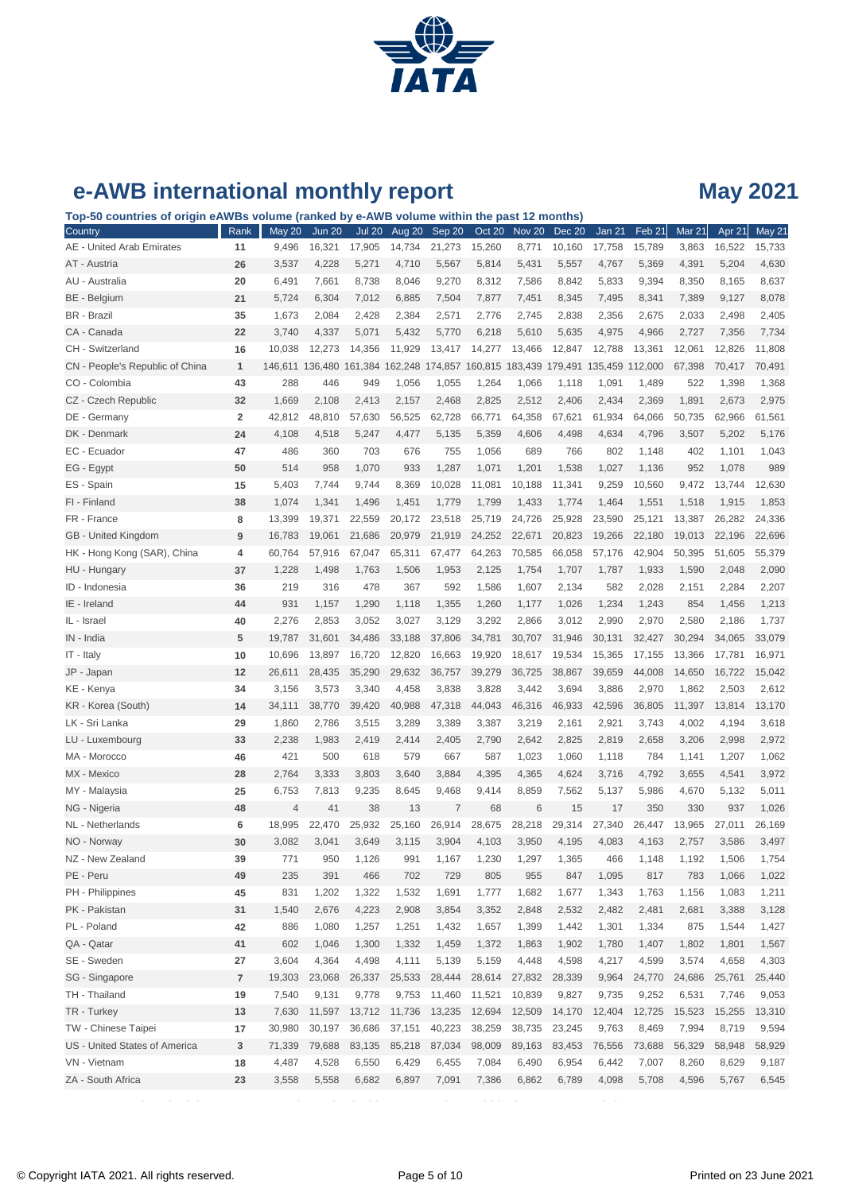

**Top-50 countries of origin eAWBs volume (ranked by e-AWB volume within the past 12 months)**

| Country                         | Rank                    | <b>May 20</b>  | <b>Jun 20</b>                                                   | <b>Jul 20</b> | Aug 20 | Sep 20         | Oct 20 | Nov 20 | Dec 20 | Jan 21  | Feb <sub>21</sub> | Mar 21 | Apr 21 | May 21 |
|---------------------------------|-------------------------|----------------|-----------------------------------------------------------------|---------------|--------|----------------|--------|--------|--------|---------|-------------------|--------|--------|--------|
| AE - United Arab Emirates       | 11                      | 9,496          | 16,321                                                          | 17,905        | 14,734 | 21,273         | 15,260 | 8,771  | 10,160 | 17,758  | 15,789            | 3,863  | 16,522 | 15,733 |
| AT - Austria                    | 26                      | 3,537          | 4,228                                                           | 5,271         | 4,710  | 5,567          | 5,814  | 5,431  | 5,557  | 4,767   | 5,369             | 4,391  | 5,204  | 4,630  |
| AU - Australia                  | 20                      | 6,491          | 7,661                                                           | 8,738         | 8,046  | 9,270          | 8,312  | 7,586  | 8,842  | 5,833   | 9,394             | 8,350  | 8,165  | 8,637  |
| BE - Belgium                    | 21                      | 5,724          | 6,304                                                           | 7,012         | 6,885  | 7,504          | 7,877  | 7,451  | 8,345  | 7,495   | 8,341             | 7,389  | 9,127  | 8,078  |
| <b>BR</b> - Brazil              | 35                      | 1,673          | 2,084                                                           | 2,428         | 2,384  | 2,571          | 2,776  | 2,745  | 2,838  | 2,356   | 2,675             | 2,033  | 2,498  | 2,405  |
| CA - Canada                     | 22                      | 3,740          | 4,337                                                           | 5,071         | 5,432  | 5,770          | 6,218  | 5,610  | 5,635  | 4,975   | 4,966             | 2,727  | 7,356  | 7,734  |
| CH - Switzerland                | 16                      | 10,038         | 12,273                                                          | 14,356        | 11,929 | 13,417         | 14,277 | 13,466 | 12,847 | 12,788  | 13,361            | 12,061 | 12,826 | 11,808 |
| CN - People's Republic of China | $\mathbf{1}$            |                | 146,611 136,480 161,384 162,248 174,857 160,815 183,439 179,491 |               |        |                |        |        |        | 135,459 | 112,000           | 67,398 | 70,417 | 70,491 |
| CO - Colombia                   | 43                      | 288            | 446                                                             | 949           | 1,056  | 1,055          | 1,264  | 1,066  | 1,118  | 1,091   | 1,489             | 522    | 1,398  | 1,368  |
| CZ - Czech Republic             | 32                      | 1,669          | 2,108                                                           | 2,413         | 2,157  | 2,468          | 2,825  | 2,512  | 2,406  | 2,434   | 2,369             | 1,891  | 2,673  | 2,975  |
| DE - Germany                    | $\overline{\mathbf{2}}$ | 42,812         | 48,810                                                          | 57,630        | 56,525 | 62,728         | 66,771 | 64,358 | 67,621 | 61,934  | 64,066            | 50,735 | 62,966 | 61,561 |
| DK - Denmark                    | 24                      | 4,108          | 4,518                                                           | 5,247         | 4,477  | 5,135          | 5,359  | 4,606  | 4,498  | 4,634   | 4,796             | 3,507  | 5,202  | 5,176  |
| EC - Ecuador                    | 47                      | 486            | 360                                                             | 703           | 676    | 755            | 1,056  | 689    | 766    | 802     | 1,148             | 402    | 1,101  | 1,043  |
| EG - Egypt                      | 50                      | 514            | 958                                                             | 1,070         | 933    | 1,287          | 1,071  | 1,201  | 1,538  | 1,027   | 1,136             | 952    | 1,078  | 989    |
| ES - Spain                      | 15                      | 5,403          | 7,744                                                           | 9,744         | 8,369  | 10,028         | 11,081 | 10,188 | 11,341 | 9,259   | 10,560            | 9,472  | 13,744 | 12,630 |
| FI - Finland                    | 38                      | 1,074          | 1,341                                                           | 1,496         | 1,451  | 1,779          | 1,799  | 1,433  | 1,774  | 1,464   | 1,551             | 1,518  | 1,915  | 1,853  |
| FR - France                     | 8                       | 13,399         | 19,371                                                          | 22,559        | 20,172 | 23,518         | 25,719 | 24,726 | 25,928 | 23,590  | 25,121            | 13,387 | 26,282 | 24,336 |
| GB - United Kingdom             | 9                       | 16,783         | 19,061                                                          | 21,686        | 20,979 | 21,919         | 24,252 | 22,671 | 20,823 | 19,266  | 22,180            | 19,013 | 22,196 | 22,696 |
| HK - Hong Kong (SAR), China     | 4                       | 60,764         | 57,916                                                          | 67,047        | 65,311 | 67,477         | 64,263 | 70,585 | 66,058 | 57,176  | 42,904            | 50,395 | 51,605 | 55,379 |
| HU - Hungary                    | 37                      | 1,228          | 1,498                                                           | 1,763         | 1,506  | 1,953          | 2,125  | 1,754  | 1,707  | 1,787   | 1,933             | 1,590  | 2,048  | 2,090  |
| ID - Indonesia                  | 36                      | 219            | 316                                                             | 478           | 367    | 592            | 1,586  | 1,607  | 2,134  | 582     | 2,028             | 2,151  | 2,284  | 2,207  |
| IE - Ireland                    | 44                      | 931            | 1,157                                                           | 1,290         | 1,118  | 1,355          | 1,260  | 1,177  | 1,026  | 1,234   | 1,243             | 854    | 1,456  | 1,213  |
| IL - Israel                     | 40                      | 2,276          | 2,853                                                           | 3,052         | 3,027  | 3,129          | 3,292  | 2,866  | 3,012  | 2,990   | 2,970             | 2,580  | 2,186  | 1,737  |
| IN - India                      | 5                       | 19,787         | 31,601                                                          | 34,486        | 33,188 | 37,806         | 34,781 | 30,707 | 31,946 | 30,131  | 32,427            | 30,294 | 34,065 | 33,079 |
| IT - Italy                      | 10                      | 10,696         | 13,897                                                          | 16,720        | 12,820 | 16,663         | 19,920 | 18,617 | 19,534 | 15,365  | 17,155            | 13,366 | 17,781 | 16,971 |
| JP - Japan                      | 12                      | 26,611         | 28,435                                                          | 35,290        | 29,632 | 36,757         | 39,279 | 36,725 | 38,867 | 39,659  | 44,008            | 14,650 | 16,722 | 15,042 |
| KE - Kenya                      | 34                      | 3,156          | 3,573                                                           | 3,340         | 4,458  | 3,838          | 3,828  | 3,442  | 3,694  | 3,886   | 2,970             | 1,862  | 2,503  | 2,612  |
| KR - Korea (South)              | 14                      | 34,111         | 38,770                                                          | 39,420        | 40,988 | 47,318         | 44,043 | 46,316 | 46,933 | 42,596  | 36,805            | 11,397 | 13,814 | 13,170 |
| LK - Sri Lanka                  | 29                      | 1,860          | 2,786                                                           | 3,515         | 3,289  | 3,389          | 3,387  | 3,219  | 2,161  | 2,921   | 3,743             | 4,002  | 4,194  | 3,618  |
| LU - Luxembourg                 | 33                      | 2,238          | 1,983                                                           | 2,419         | 2,414  | 2,405          | 2,790  | 2,642  | 2,825  | 2,819   | 2,658             | 3,206  | 2,998  | 2,972  |
| MA - Morocco                    | 46                      | 421            | 500                                                             | 618           | 579    | 667            | 587    | 1,023  | 1,060  | 1,118   | 784               | 1,141  | 1,207  | 1,062  |
| MX - Mexico                     | 28                      | 2,764          | 3,333                                                           | 3,803         | 3,640  | 3,884          | 4,395  | 4,365  | 4,624  | 3,716   | 4,792             | 3,655  | 4,541  | 3,972  |
| MY - Malaysia                   | 25                      | 6,753          | 7,813                                                           | 9,235         | 8,645  | 9,468          | 9,414  | 8,859  | 7,562  | 5,137   | 5,986             | 4,670  | 5,132  | 5,011  |
| NG - Nigeria                    | 48                      | $\overline{4}$ | 41                                                              | 38            | 13     | $\overline{7}$ | 68     | 6      | 15     | 17      | 350               | 330    | 937    | 1,026  |
| NL - Netherlands                | 6                       | 18,995         | 22,470                                                          | 25,932        | 25,160 | 26,914         | 28,675 | 28,218 | 29,314 | 27,340  | 26,447            | 13,965 | 27,011 | 26,169 |
| NO - Norway                     | 30                      | 3,082          | 3,041                                                           | 3,649         | 3,115  | 3,904          | 4,103  | 3,950  | 4,195  | 4,083   | 4,163             | 2,757  | 3,586  | 3,497  |
| NZ - New Zealand                | 39                      | 771            | 950                                                             | 1,126         | 991    | 1,167          | 1,230  | 1,297  | 1,365  | 466     | 1,148             | 1,192  | 1,506  | 1,754  |
| PE - Peru                       | 49                      | 235            | 391                                                             | 466           | 702    | 729            | 805    | 955    | 847    | 1,095   | 817               | 783    | 1,066  | 1,022  |
| PH - Philippines                | 45                      | 831            | 1,202                                                           | 1,322         | 1,532  | 1,691          | 1,777  | 1,682  | 1,677  | 1,343   | 1,763             | 1,156  | 1,083  | 1,211  |
| PK - Pakistan                   | 31                      | 1,540          | 2,676                                                           | 4,223         | 2,908  | 3,854          | 3,352  | 2,848  | 2,532  | 2,482   | 2,481             | 2,681  | 3,388  | 3,128  |
| PL - Poland                     | 42                      | 886            | 1,080                                                           | 1,257         | 1,251  | 1,432          | 1,657  | 1,399  | 1,442  | 1,301   | 1,334             | 875    | 1,544  | 1,427  |
| QA - Qatar                      | 41                      | 602            | 1,046                                                           | 1,300         | 1,332  | 1,459          | 1,372  | 1,863  | 1,902  | 1,780   | 1,407             | 1,802  | 1,801  | 1,567  |
| SE - Sweden                     | 27                      | 3,604          | 4,364                                                           | 4,498         | 4,111  | 5,139          | 5,159  | 4,448  | 4,598  | 4,217   | 4,599             | 3,574  | 4,658  | 4,303  |
| SG - Singapore                  | $\overline{7}$          | 19,303         | 23,068                                                          | 26,337        | 25,533 | 28,444         | 28,614 | 27,832 | 28,339 | 9,964   | 24,770            | 24,686 | 25,761 | 25,440 |
| TH - Thailand                   | 19                      | 7,540          | 9,131                                                           | 9,778         | 9,753  | 11,460         | 11,521 | 10,839 | 9,827  | 9,735   | 9,252             | 6,531  | 7,746  | 9,053  |
| TR - Turkey                     | 13                      | 7,630          | 11,597                                                          | 13,712        | 11,736 | 13,235         | 12,694 | 12,509 | 14,170 | 12,404  | 12,725            | 15,523 | 15,255 | 13,310 |
| TW - Chinese Taipei             | 17                      | 30,980         | 30,197                                                          | 36,686        | 37,151 | 40,223         | 38,259 | 38,735 | 23,245 | 9,763   | 8,469             | 7,994  | 8,719  | 9,594  |
| US - United States of America   | 3                       | 71,339         | 79,688                                                          | 83,135        | 85,218 | 87,034         | 98,009 | 89,163 | 83,453 | 76,556  | 73,688            | 56,329 | 58,948 | 58,929 |
| VN - Vietnam                    | 18                      | 4,487          | 4,528                                                           | 6,550         | 6,429  | 6,455          | 7,084  | 6,490  | 6,954  | 6,442   | 7,007             | 8,260  | 8,629  | 9,187  |
| ZA - South Africa               | 23                      | 3,558          | 5,558                                                           | 6,682         | 6,897  | 7,091          | 7,386  | 6,862  | 6,789  | 4,098   | 5,708             | 4,596  | 5,767  | 6,545  |
|                                 |                         |                |                                                                 |               |        |                |        |        |        |         |                   |        |        |        |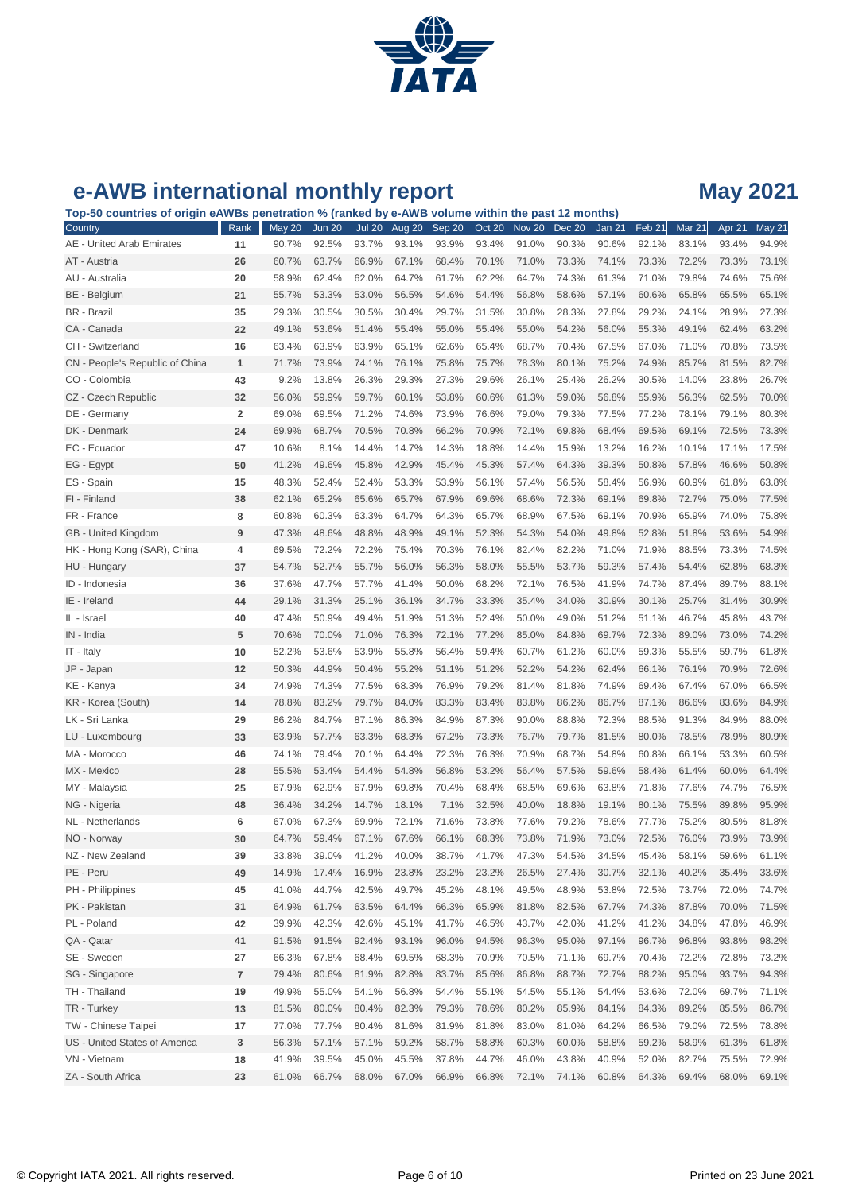

| Top-50 countries of origin eAWBs penetration % (ranked by e-AWB volume within the past 12 months) |                |               |               |               |        |        |               |        |               |               |        |               |        |        |
|---------------------------------------------------------------------------------------------------|----------------|---------------|---------------|---------------|--------|--------|---------------|--------|---------------|---------------|--------|---------------|--------|--------|
| Country                                                                                           | Rank           | <b>May 20</b> | <b>Jun 20</b> | <b>Jul 20</b> | Aug 20 | Sep 20 | <b>Oct 20</b> | Nov 20 | <b>Dec 20</b> | <b>Jan 21</b> | Feb 21 | <b>Mar 21</b> | Apr 21 | May 21 |
| AE - United Arab Emirates                                                                         | 11             | 90.7%         | 92.5%         | 93.7%         | 93.1%  | 93.9%  | 93.4%         | 91.0%  | 90.3%         | 90.6%         | 92.1%  | 83.1%         | 93.4%  | 94.9%  |
| AT - Austria                                                                                      | 26             | 60.7%         | 63.7%         | 66.9%         | 67.1%  | 68.4%  | 70.1%         | 71.0%  | 73.3%         | 74.1%         | 73.3%  | 72.2%         | 73.3%  | 73.1%  |
| AU - Australia                                                                                    | 20             | 58.9%         | 62.4%         | 62.0%         | 64.7%  | 61.7%  | 62.2%         | 64.7%  | 74.3%         | 61.3%         | 71.0%  | 79.8%         | 74.6%  | 75.6%  |
| BE - Belgium                                                                                      | 21             | 55.7%         | 53.3%         | 53.0%         | 56.5%  | 54.6%  | 54.4%         | 56.8%  | 58.6%         | 57.1%         | 60.6%  | 65.8%         | 65.5%  | 65.1%  |
| <b>BR</b> - Brazil                                                                                | 35             | 29.3%         | 30.5%         | 30.5%         | 30.4%  | 29.7%  | 31.5%         | 30.8%  | 28.3%         | 27.8%         | 29.2%  | 24.1%         | 28.9%  | 27.3%  |
| CA - Canada                                                                                       | 22             | 49.1%         | 53.6%         | 51.4%         | 55.4%  | 55.0%  | 55.4%         | 55.0%  | 54.2%         | 56.0%         | 55.3%  | 49.1%         | 62.4%  | 63.2%  |
| CH - Switzerland                                                                                  | 16             | 63.4%         | 63.9%         | 63.9%         | 65.1%  | 62.6%  | 65.4%         | 68.7%  | 70.4%         | 67.5%         | 67.0%  | 71.0%         | 70.8%  | 73.5%  |
| CN - People's Republic of China                                                                   | 1              | 71.7%         | 73.9%         | 74.1%         | 76.1%  | 75.8%  | 75.7%         | 78.3%  | 80.1%         | 75.2%         | 74.9%  | 85.7%         | 81.5%  | 82.7%  |
| CO - Colombia                                                                                     | 43             | 9.2%          | 13.8%         | 26.3%         | 29.3%  | 27.3%  | 29.6%         | 26.1%  | 25.4%         | 26.2%         | 30.5%  | 14.0%         | 23.8%  | 26.7%  |
| CZ - Czech Republic                                                                               | 32             | 56.0%         | 59.9%         | 59.7%         | 60.1%  | 53.8%  | 60.6%         | 61.3%  | 59.0%         | 56.8%         | 55.9%  | 56.3%         | 62.5%  | 70.0%  |
| DE - Germany                                                                                      | $\overline{2}$ | 69.0%         | 69.5%         | 71.2%         | 74.6%  | 73.9%  | 76.6%         | 79.0%  | 79.3%         | 77.5%         | 77.2%  | 78.1%         | 79.1%  | 80.3%  |
| DK - Denmark                                                                                      | 24             | 69.9%         | 68.7%         | 70.5%         | 70.8%  | 66.2%  | 70.9%         | 72.1%  | 69.8%         | 68.4%         | 69.5%  | 69.1%         | 72.5%  | 73.3%  |
| EC - Ecuador                                                                                      | 47             | 10.6%         | 8.1%          | 14.4%         | 14.7%  | 14.3%  | 18.8%         | 14.4%  | 15.9%         | 13.2%         | 16.2%  | 10.1%         | 17.1%  | 17.5%  |
| EG - Egypt                                                                                        | 50             | 41.2%         | 49.6%         | 45.8%         | 42.9%  | 45.4%  | 45.3%         | 57.4%  | 64.3%         | 39.3%         | 50.8%  | 57.8%         | 46.6%  | 50.8%  |
| ES - Spain                                                                                        | 15             | 48.3%         | 52.4%         | 52.4%         | 53.3%  | 53.9%  | 56.1%         | 57.4%  | 56.5%         | 58.4%         | 56.9%  | 60.9%         | 61.8%  | 63.8%  |
| FI - Finland                                                                                      | 38             | 62.1%         | 65.2%         | 65.6%         | 65.7%  | 67.9%  | 69.6%         | 68.6%  | 72.3%         | 69.1%         | 69.8%  | 72.7%         | 75.0%  | 77.5%  |
| FR - France                                                                                       | 8              | 60.8%         | 60.3%         | 63.3%         | 64.7%  | 64.3%  | 65.7%         | 68.9%  | 67.5%         | 69.1%         | 70.9%  | 65.9%         | 74.0%  | 75.8%  |
| GB - United Kingdom                                                                               | 9              | 47.3%         | 48.6%         | 48.8%         | 48.9%  | 49.1%  | 52.3%         | 54.3%  | 54.0%         | 49.8%         | 52.8%  | 51.8%         | 53.6%  | 54.9%  |
| HK - Hong Kong (SAR), China                                                                       | 4              | 69.5%         | 72.2%         | 72.2%         | 75.4%  | 70.3%  | 76.1%         | 82.4%  | 82.2%         | 71.0%         | 71.9%  | 88.5%         | 73.3%  | 74.5%  |
| HU - Hungary                                                                                      | 37             | 54.7%         | 52.7%         | 55.7%         | 56.0%  | 56.3%  | 58.0%         | 55.5%  | 53.7%         | 59.3%         | 57.4%  | 54.4%         | 62.8%  | 68.3%  |
| ID - Indonesia                                                                                    | 36             | 37.6%         | 47.7%         | 57.7%         | 41.4%  | 50.0%  | 68.2%         | 72.1%  | 76.5%         | 41.9%         | 74.7%  | 87.4%         | 89.7%  | 88.1%  |
| IE - Ireland                                                                                      | 44             | 29.1%         | 31.3%         | 25.1%         | 36.1%  | 34.7%  | 33.3%         | 35.4%  | 34.0%         | 30.9%         | 30.1%  | 25.7%         | 31.4%  | 30.9%  |
| IL - Israel                                                                                       | 40             | 47.4%         | 50.9%         | 49.4%         | 51.9%  | 51.3%  | 52.4%         | 50.0%  | 49.0%         | 51.2%         | 51.1%  | 46.7%         | 45.8%  | 43.7%  |
| IN - India                                                                                        | 5              | 70.6%         | 70.0%         | 71.0%         | 76.3%  | 72.1%  | 77.2%         | 85.0%  | 84.8%         | 69.7%         | 72.3%  | 89.0%         | 73.0%  | 74.2%  |
| IT - Italy                                                                                        | 10             | 52.2%         | 53.6%         | 53.9%         | 55.8%  | 56.4%  | 59.4%         | 60.7%  | 61.2%         | 60.0%         | 59.3%  | 55.5%         | 59.7%  | 61.8%  |
| JP - Japan                                                                                        | 12             | 50.3%         | 44.9%         | 50.4%         | 55.2%  | 51.1%  | 51.2%         | 52.2%  | 54.2%         | 62.4%         | 66.1%  | 76.1%         | 70.9%  | 72.6%  |
| KE - Kenya                                                                                        | 34             | 74.9%         | 74.3%         | 77.5%         | 68.3%  | 76.9%  | 79.2%         | 81.4%  | 81.8%         | 74.9%         | 69.4%  | 67.4%         | 67.0%  | 66.5%  |
| KR - Korea (South)                                                                                | 14             | 78.8%         | 83.2%         | 79.7%         | 84.0%  | 83.3%  | 83.4%         | 83.8%  | 86.2%         | 86.7%         | 87.1%  | 86.6%         | 83.6%  | 84.9%  |
| LK - Sri Lanka                                                                                    | 29             | 86.2%         | 84.7%         | 87.1%         | 86.3%  | 84.9%  | 87.3%         | 90.0%  | 88.8%         | 72.3%         | 88.5%  | 91.3%         | 84.9%  | 88.0%  |
| LU - Luxembourg                                                                                   | 33             | 63.9%         | 57.7%         | 63.3%         | 68.3%  | 67.2%  | 73.3%         | 76.7%  | 79.7%         | 81.5%         | 80.0%  | 78.5%         | 78.9%  | 80.9%  |
| MA - Morocco                                                                                      | 46             | 74.1%         | 79.4%         | 70.1%         | 64.4%  | 72.3%  | 76.3%         | 70.9%  | 68.7%         | 54.8%         | 60.8%  | 66.1%         | 53.3%  | 60.5%  |
| MX - Mexico                                                                                       | 28             | 55.5%         | 53.4%         | 54.4%         | 54.8%  | 56.8%  | 53.2%         | 56.4%  | 57.5%         | 59.6%         | 58.4%  | 61.4%         | 60.0%  | 64.4%  |
| MY - Malaysia                                                                                     | 25             | 67.9%         | 62.9%         | 67.9%         | 69.8%  | 70.4%  | 68.4%         | 68.5%  | 69.6%         | 63.8%         | 71.8%  | 77.6%         | 74.7%  | 76.5%  |
| NG - Nigeria                                                                                      | 48             | 36.4%         | 34.2%         | 14.7%         | 18.1%  | 7.1%   | 32.5%         | 40.0%  | 18.8%         | 19.1%         | 80.1%  | 75.5%         | 89.8%  | 95.9%  |
| NL - Netherlands                                                                                  | 6              | 67.0%         | 67.3%         | 69.9%         | 72.1%  | 71.6%  | 73.8%         | 77.6%  | 79.2%         | 78.6%         | 77.7%  | 75.2%         | 80.5%  | 81.8%  |
| NO - Norway                                                                                       | 30             | 64.7%         | 59.4%         | 67.1%         | 67.6%  | 66.1%  | 68.3%         | 73.8%  | 71.9%         | 73.0%         | 72.5%  | 76.0%         | 73.9%  | 73.9%  |
| NZ - New Zealand                                                                                  | 39             | 33.8%         | 39.0%         | 41.2%         | 40.0%  | 38.7%  | 41.7%         | 47.3%  | 54.5%         | 34.5%         | 45.4%  | 58.1%         | 59.6%  | 61.1%  |
| PE - Peru                                                                                         | 49             | 14.9%         | 17.4%         | 16.9%         | 23.8%  | 23.2%  | 23.2%         | 26.5%  | 27.4%         | 30.7%         | 32.1%  | 40.2%         | 35.4%  | 33.6%  |
| PH - Philippines                                                                                  | 45             | 41.0%         | 44.7%         | 42.5%         | 49.7%  | 45.2%  | 48.1%         | 49.5%  | 48.9%         | 53.8%         | 72.5%  | 73.7%         | 72.0%  | 74.7%  |
| PK - Pakistan                                                                                     | 31             | 64.9%         | 61.7%         | 63.5%         | 64.4%  | 66.3%  | 65.9%         | 81.8%  | 82.5%         | 67.7%         | 74.3%  | 87.8%         | 70.0%  | 71.5%  |
| PL - Poland                                                                                       | 42             | 39.9%         | 42.3%         | 42.6%         | 45.1%  | 41.7%  | 46.5%         | 43.7%  | 42.0%         | 41.2%         | 41.2%  | 34.8%         | 47.8%  | 46.9%  |
| QA - Qatar                                                                                        | 41             | 91.5%         | 91.5%         | 92.4%         | 93.1%  | 96.0%  | 94.5%         | 96.3%  | 95.0%         | 97.1%         | 96.7%  | 96.8%         | 93.8%  | 98.2%  |
| SE - Sweden                                                                                       | 27             | 66.3%         | 67.8%         | 68.4%         | 69.5%  | 68.3%  | 70.9%         | 70.5%  | 71.1%         | 69.7%         | 70.4%  | 72.2%         | 72.8%  | 73.2%  |
| SG - Singapore                                                                                    | 7              | 79.4%         | 80.6%         | 81.9%         | 82.8%  | 83.7%  | 85.6%         | 86.8%  | 88.7%         | 72.7%         | 88.2%  | 95.0%         | 93.7%  | 94.3%  |
| TH - Thailand                                                                                     | 19             | 49.9%         | 55.0%         | 54.1%         | 56.8%  | 54.4%  | 55.1%         | 54.5%  | 55.1%         | 54.4%         | 53.6%  | 72.0%         | 69.7%  | 71.1%  |
| TR - Turkey                                                                                       | 13             | 81.5%         | 80.0%         | 80.4%         | 82.3%  | 79.3%  | 78.6%         | 80.2%  | 85.9%         | 84.1%         | 84.3%  | 89.2%         | 85.5%  | 86.7%  |
| TW - Chinese Taipei                                                                               | 17             | 77.0%         | 77.7%         | 80.4%         | 81.6%  | 81.9%  | 81.8%         | 83.0%  | 81.0%         | 64.2%         | 66.5%  | 79.0%         | 72.5%  | 78.8%  |
| US - United States of America                                                                     | 3              | 56.3%         | 57.1%         | 57.1%         | 59.2%  | 58.7%  | 58.8%         | 60.3%  | 60.0%         | 58.8%         | 59.2%  | 58.9%         | 61.3%  | 61.8%  |
| VN - Vietnam                                                                                      | 18             | 41.9%         | 39.5%         | 45.0%         | 45.5%  | 37.8%  | 44.7%         | 46.0%  | 43.8%         | 40.9%         | 52.0%  | 82.7%         | 75.5%  | 72.9%  |
| ZA - South Africa                                                                                 | 23             | 61.0%         | 66.7%         | 68.0%         | 67.0%  | 66.9%  | 66.8%         | 72.1%  | 74.1%         | 60.8%         | 64.3%  | 69.4%         | 68.0%  | 69.1%  |
|                                                                                                   |                |               |               |               |        |        |               |        |               |               |        |               |        |        |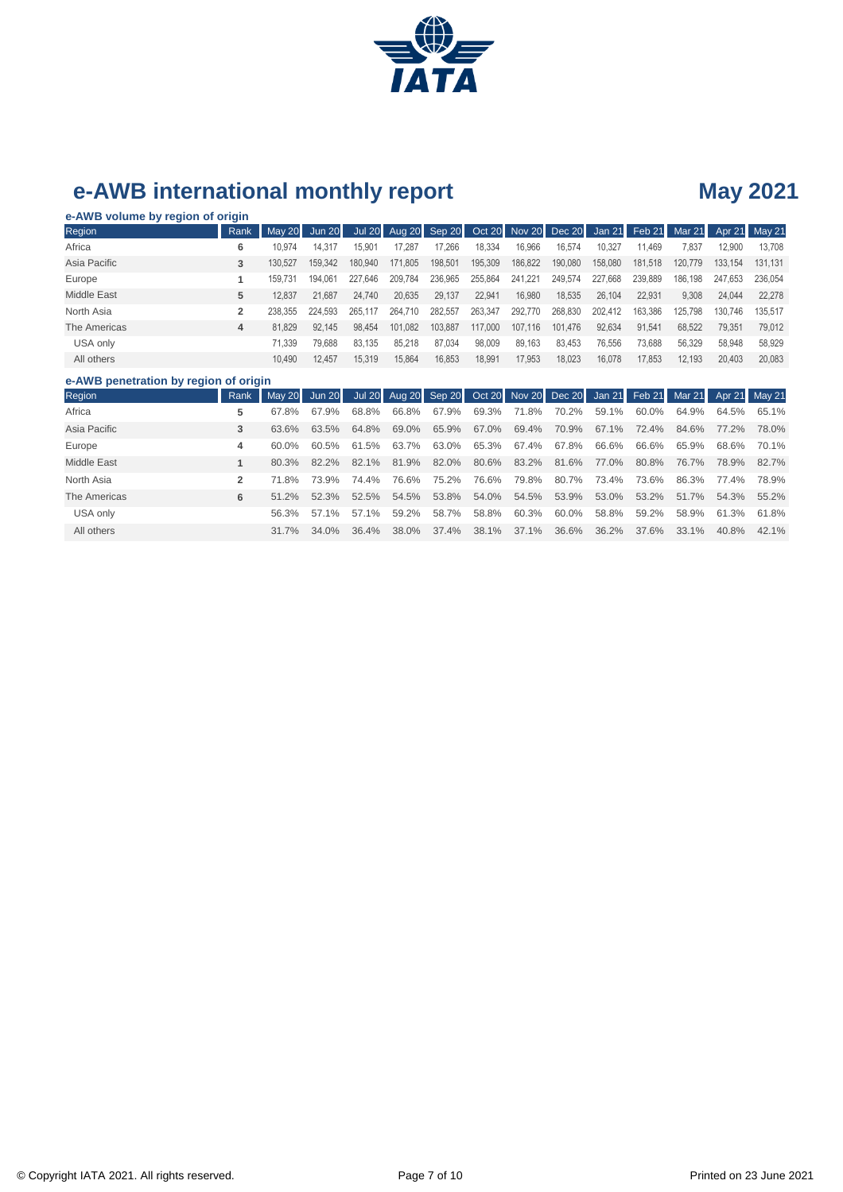

### **e-AWB volume by region of origin**

| Region                                | Rank | May $20$ | Jun 20  |         |         |         |         |         | Jul 20 Aug 20 Sep 20 Oct 20 Nov 20 Dec 20 |         | Jan 21 Feb 21 Mar 21 |         |         | Apr 21 May 21 |
|---------------------------------------|------|----------|---------|---------|---------|---------|---------|---------|-------------------------------------------|---------|----------------------|---------|---------|---------------|
| Africa                                | 6    | 10.974   | 14.317  | 15.901  | 17.287  | 17,266  | 18.334  | 16.966  | 16.574                                    | 10,327  | 11.469               | 7.837   | 12.900  | 13.708        |
| Asia Pacific                          | 3    | 130.527  | 159.342 | 180.940 | 171.805 | 198.501 | 195.309 | 186.822 | 190,080                                   | 158,080 | 181.518              | 120,779 | 133.154 | 131.131       |
| Europe                                |      | 159.731  | 194.061 | 227.646 | 209.784 | 236,965 | 255,864 | 241,221 | 249,574                                   | 227.668 | 239.889              | 186.198 | 247.653 | 236,054       |
| Middle East                           | 5    | 12.837   | 21.687  | 24.740  | 20.635  | 29,137  | 22.941  | 16,980  | 18,535                                    | 26.104  | 22.931               | 9.308   | 24.044  | 22,278        |
| North Asia                            | 2    | 238.355  | 224.593 | 265.117 | 264.710 | 282,557 | 263,347 | 292,770 | 268,830                                   | 202.412 | 163.386              | 125.798 | 130.746 | 135.517       |
| The Americas                          | 4    | 81.829   | 92.145  | 98.454  | 101.082 | 103.887 | 117,000 | 107.116 | 101.476                                   | 92.634  | 91.541               | 68.522  | 79.351  | 79.012        |
| USA only                              |      | 71.339   | 79.688  | 83.135  | 85.218  | 87.034  | 98,009  | 89,163  | 83.453                                    | 76,556  | 73.688               | 56.329  | 58.948  | 58,929        |
| All others                            |      | 10.490   | 12.457  | 15.319  | 15,864  | 16,853  | 18,991  | 17,953  | 18,023                                    | 16,078  | 17,853               | 12,193  | 20.403  | 20,083        |
| e-AWB penetration by region of origin |      |          |         |         |         |         |         |         |                                           |         |                      |         |         |               |

| Region       | Rank | May 20 Jun 20 Jul 20 Aug 20 Sep 20 Oct 20 Nov 20 Dec 20 Jan 21 Feb 21 Mar 21 Apr 21 May 21 |             |       |       |       |                   |                   |       |       |       |                   |  |
|--------------|------|--------------------------------------------------------------------------------------------|-------------|-------|-------|-------|-------------------|-------------------|-------|-------|-------|-------------------|--|
| Africa       |      | 67.8%                                                                                      | 67.9%       | 68.8% | 66.8% | 67.9% | 69.3% 71.8%       | 70.2%             | 59.1% | 60.0% |       | 64.9% 64.5% 65.1% |  |
| Asia Pacific | 3    | 63.6%                                                                                      | 63.5%       | 64.8% | 69.0% | 65.9% | 67.0% 69.4%       | 70.9%             | 67.1% | 72.4% |       | 84.6% 77.2% 78.0% |  |
| Europe       | 4    | 60.0%                                                                                      | 60.5%       | 61.5% | 63.7% | 63.0% | 65.3% 67.4%       | 67.8%             | 66.6% | 66.6% |       | 65.9% 68.6% 70.1% |  |
| Middle East  |      | 80.3%                                                                                      | 82.2%       | 82.1% | 81.9% | 82.0% | 80.6% 83.2% 81.6% |                   | 77.0% | 80.8% |       | 76.7% 78.9% 82.7% |  |
| North Asia   |      | 71.8%                                                                                      | 73.9%       | 74.4% | 76.6% | 75.2% |                   | 76.6% 79.8% 80.7% | 73.4% | 73.6% |       | 86.3% 77.4% 78.9% |  |
| The Americas | 6    | $51.2\%$                                                                                   | 52.3%       | 52.5% | 54.5% | 53.8% | 54.0% 54.5%       | 53.9%             | 53.0% | 53.2% |       | 51.7% 54.3% 55.2% |  |
| USA only     |      | 56.3%                                                                                      | 57.1%       | 57.1% | 59.2% | 58.7% | 58.8% 60.3%       | 60.0%             | 58.8% | 59.2% |       | 58.9% 61.3% 61.8% |  |
| All others   |      |                                                                                            | 31.7% 34.0% | 36.4% | 38.0% | 37.4% |                   | 38.1% 37.1% 36.6% | 36.2% | 37.6% | 33.1% | 40.8% 42.1%       |  |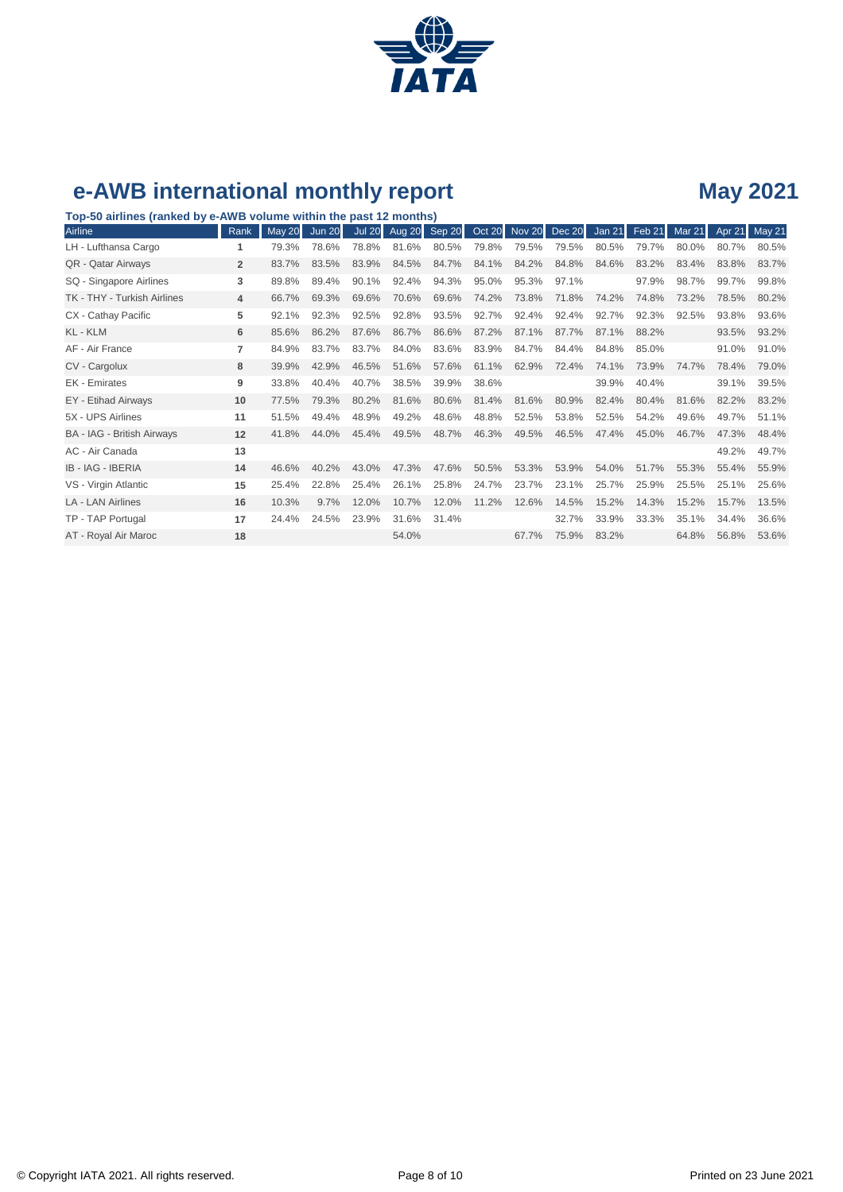

**Top-50 airlines (ranked by e-AWB volume within the past 12 months)**

| Airline                           | Rank           | <b>May 20</b> | <b>Jun 20</b> | <b>Jul 20</b> | Aug 20 | Sep 20 |       | Oct 20 Nov 20 Dec 20 |       | Jan 21 | Feb 21 | Mar $21$ | Apr 21 | May 21 |
|-----------------------------------|----------------|---------------|---------------|---------------|--------|--------|-------|----------------------|-------|--------|--------|----------|--------|--------|
| LH - Lufthansa Cargo              | 1              | 79.3%         | 78.6%         | 78.8%         | 81.6%  | 80.5%  | 79.8% | 79.5%                | 79.5% | 80.5%  | 79.7%  | 80.0%    | 80.7%  | 80.5%  |
| QR - Qatar Airways                | $\overline{2}$ | 83.7%         | 83.5%         | 83.9%         | 84.5%  | 84.7%  | 84.1% | 84.2%                | 84.8% | 84.6%  | 83.2%  | 83.4%    | 83.8%  | 83.7%  |
| SQ - Singapore Airlines           | 3              | 89.8%         | 89.4%         | 90.1%         | 92.4%  | 94.3%  | 95.0% | 95.3%                | 97.1% |        | 97.9%  | 98.7%    | 99.7%  | 99.8%  |
| TK - THY - Turkish Airlines       | 4              | 66.7%         | 69.3%         | 69.6%         | 70.6%  | 69.6%  | 74.2% | 73.8%                | 71.8% | 74.2%  | 74.8%  | 73.2%    | 78.5%  | 80.2%  |
| CX - Cathay Pacific               | 5              | 92.1%         | 92.3%         | 92.5%         | 92.8%  | 93.5%  | 92.7% | 92.4%                | 92.4% | 92.7%  | 92.3%  | 92.5%    | 93.8%  | 93.6%  |
| KL - KLM                          | 6              | 85.6%         | 86.2%         | 87.6%         | 86.7%  | 86.6%  | 87.2% | 87.1%                | 87.7% | 87.1%  | 88.2%  |          | 93.5%  | 93.2%  |
| AF - Air France                   | 7              | 84.9%         | 83.7%         | 83.7%         | 84.0%  | 83.6%  | 83.9% | 84.7%                | 84.4% | 84.8%  | 85.0%  |          | 91.0%  | 91.0%  |
| CV - Cargolux                     | 8              | 39.9%         | 42.9%         | 46.5%         | 51.6%  | 57.6%  | 61.1% | 62.9%                | 72.4% | 74.1%  | 73.9%  | 74.7%    | 78.4%  | 79.0%  |
| EK - Emirates                     | 9              | 33.8%         | 40.4%         | 40.7%         | 38.5%  | 39.9%  | 38.6% |                      |       | 39.9%  | 40.4%  |          | 39.1%  | 39.5%  |
| EY - Etihad Airways               | 10             | 77.5%         | 79.3%         | 80.2%         | 81.6%  | 80.6%  | 81.4% | 81.6%                | 80.9% | 82.4%  | 80.4%  | 81.6%    | 82.2%  | 83.2%  |
| 5X - UPS Airlines                 | 11             | 51.5%         | 49.4%         | 48.9%         | 49.2%  | 48.6%  | 48.8% | 52.5%                | 53.8% | 52.5%  | 54.2%  | 49.6%    | 49.7%  | 51.1%  |
| <b>BA - IAG - British Airways</b> | 12             | 41.8%         | 44.0%         | 45.4%         | 49.5%  | 48.7%  | 46.3% | 49.5%                | 46.5% | 47.4%  | 45.0%  | 46.7%    | 47.3%  | 48.4%  |
| AC - Air Canada                   | 13             |               |               |               |        |        |       |                      |       |        |        |          | 49.2%  | 49.7%  |
| <b>IB - IAG - IBERIA</b>          | 14             | 46.6%         | 40.2%         | 43.0%         | 47.3%  | 47.6%  | 50.5% | 53.3%                | 53.9% | 54.0%  | 51.7%  | 55.3%    | 55.4%  | 55.9%  |
| VS - Virgin Atlantic              | 15             | 25.4%         | 22.8%         | 25.4%         | 26.1%  | 25.8%  | 24.7% | 23.7%                | 23.1% | 25.7%  | 25.9%  | 25.5%    | 25.1%  | 25.6%  |
| <b>LA - LAN Airlines</b>          | 16             | 10.3%         | 9.7%          | 12.0%         | 10.7%  | 12.0%  | 11.2% | 12.6%                | 14.5% | 15.2%  | 14.3%  | 15.2%    | 15.7%  | 13.5%  |
| TP - TAP Portugal                 | 17             | 24.4%         | 24.5%         | 23.9%         | 31.6%  | 31.4%  |       |                      | 32.7% | 33.9%  | 33.3%  | 35.1%    | 34.4%  | 36.6%  |
| AT - Royal Air Maroc              | 18             |               |               |               | 54.0%  |        |       | 67.7%                | 75.9% | 83.2%  |        | 64.8%    | 56.8%  | 53.6%  |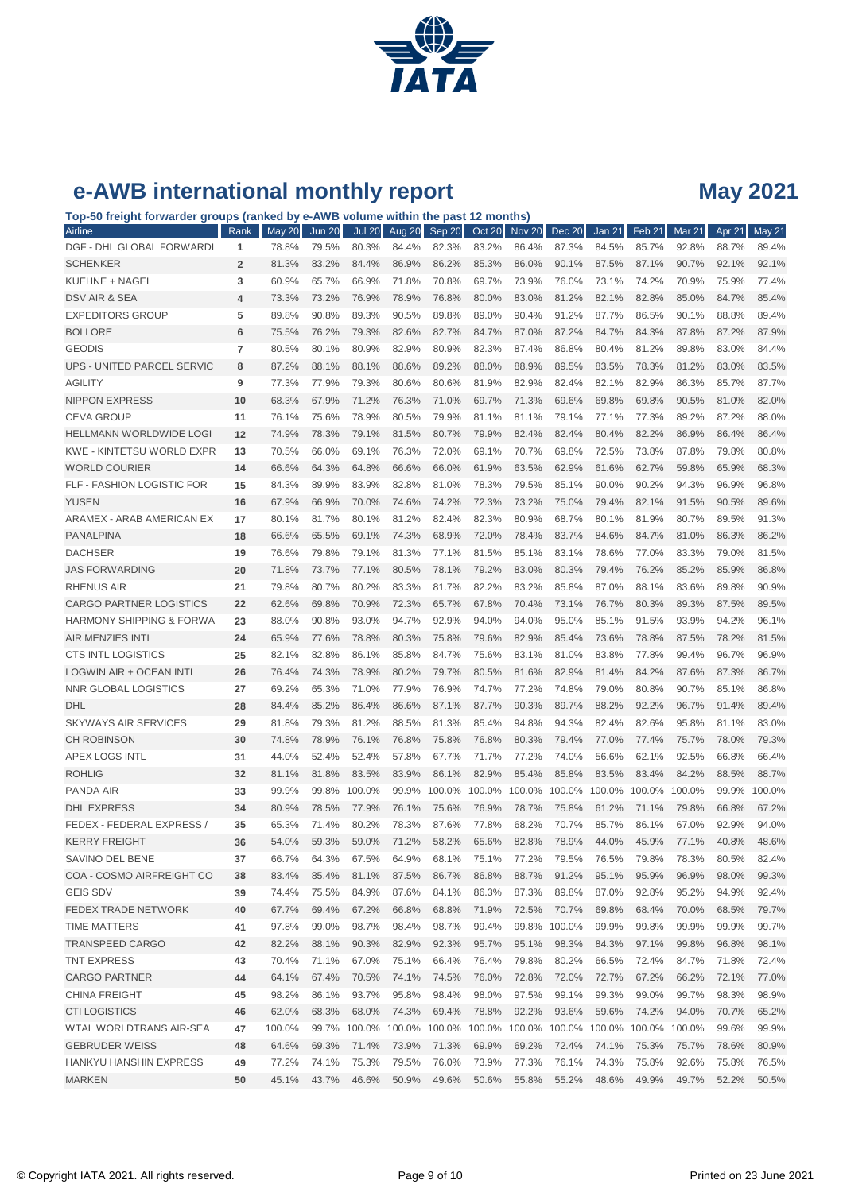

**Top-50 freight forwarder groups (ranked by e-AWB volume within the past 12 months)**

| Airline                             | Rank           | May 20 | <b>Jun 20</b> | <b>Jul 20</b>                                                        | Aug 20 | Sep 20 | Oct 20        | Nov <sub>20</sub> | <b>Dec 20</b> | <b>Jan 21</b> | Feb 21 | Mar $21$ | Apr 21 | May 21 |
|-------------------------------------|----------------|--------|---------------|----------------------------------------------------------------------|--------|--------|---------------|-------------------|---------------|---------------|--------|----------|--------|--------|
| DGF - DHL GLOBAL FORWARDI           | 1              | 78.8%  | 79.5%         | 80.3%                                                                | 84.4%  | 82.3%  | 83.2%         | 86.4%             | 87.3%         | 84.5%         | 85.7%  | 92.8%    | 88.7%  | 89.4%  |
| <b>SCHENKER</b>                     | $\overline{2}$ | 81.3%  | 83.2%         | 84.4%                                                                | 86.9%  | 86.2%  | 85.3%         | 86.0%             | 90.1%         | 87.5%         | 87.1%  | 90.7%    | 92.1%  | 92.1%  |
| KUEHNE + NAGEL                      | 3              | 60.9%  | 65.7%         | 66.9%                                                                | 71.8%  | 70.8%  | 69.7%         | 73.9%             | 76.0%         | 73.1%         | 74.2%  | 70.9%    | 75.9%  | 77.4%  |
| DSV AIR & SEA                       | $\overline{4}$ | 73.3%  | 73.2%         | 76.9%                                                                | 78.9%  | 76.8%  | 80.0%         | 83.0%             | 81.2%         | 82.1%         | 82.8%  | 85.0%    | 84.7%  | 85.4%  |
| <b>EXPEDITORS GROUP</b>             | 5              | 89.8%  | 90.8%         | 89.3%                                                                | 90.5%  | 89.8%  | 89.0%         | 90.4%             | 91.2%         | 87.7%         | 86.5%  | 90.1%    | 88.8%  | 89.4%  |
| <b>BOLLORE</b>                      | 6              | 75.5%  | 76.2%         | 79.3%                                                                | 82.6%  | 82.7%  | 84.7%         | 87.0%             | 87.2%         | 84.7%         | 84.3%  | 87.8%    | 87.2%  | 87.9%  |
| <b>GEODIS</b>                       | $\overline{7}$ | 80.5%  | 80.1%         | 80.9%                                                                | 82.9%  | 80.9%  | 82.3%         | 87.4%             | 86.8%         | 80.4%         | 81.2%  | 89.8%    | 83.0%  | 84.4%  |
| UPS - UNITED PARCEL SERVIC          | 8              | 87.2%  | 88.1%         | 88.1%                                                                | 88.6%  | 89.2%  | 88.0%         | 88.9%             | 89.5%         | 83.5%         | 78.3%  | 81.2%    | 83.0%  | 83.5%  |
| <b>AGILITY</b>                      | 9              | 77.3%  | 77.9%         | 79.3%                                                                | 80.6%  | 80.6%  | 81.9%         | 82.9%             | 82.4%         | 82.1%         | 82.9%  | 86.3%    | 85.7%  | 87.7%  |
| <b>NIPPON EXPRESS</b>               | 10             | 68.3%  | 67.9%         | 71.2%                                                                | 76.3%  | 71.0%  | 69.7%         | 71.3%             | 69.6%         | 69.8%         | 69.8%  | 90.5%    | 81.0%  | 82.0%  |
| <b>CEVA GROUP</b>                   | 11             | 76.1%  | 75.6%         | 78.9%                                                                | 80.5%  | 79.9%  | 81.1%         | 81.1%             | 79.1%         | 77.1%         | 77.3%  | 89.2%    | 87.2%  | 88.0%  |
| HELLMANN WORLDWIDE LOGI             | 12             | 74.9%  | 78.3%         | 79.1%                                                                | 81.5%  | 80.7%  | 79.9%         | 82.4%             | 82.4%         | 80.4%         | 82.2%  | 86.9%    | 86.4%  | 86.4%  |
| KWE - KINTETSU WORLD EXPR           | 13             | 70.5%  | 66.0%         | 69.1%                                                                | 76.3%  | 72.0%  | 69.1%         | 70.7%             | 69.8%         | 72.5%         | 73.8%  | 87.8%    | 79.8%  | 80.8%  |
| <b>WORLD COURIER</b>                | 14             | 66.6%  | 64.3%         | 64.8%                                                                | 66.6%  | 66.0%  | 61.9%         | 63.5%             | 62.9%         | 61.6%         | 62.7%  | 59.8%    | 65.9%  | 68.3%  |
| FLF - FASHION LOGISTIC FOR          | 15             | 84.3%  | 89.9%         | 83.9%                                                                | 82.8%  | 81.0%  | 78.3%         | 79.5%             | 85.1%         | 90.0%         | 90.2%  | 94.3%    | 96.9%  | 96.8%  |
| <b>YUSEN</b>                        | 16             | 67.9%  | 66.9%         | 70.0%                                                                | 74.6%  | 74.2%  | 72.3%         | 73.2%             | 75.0%         | 79.4%         | 82.1%  | 91.5%    | 90.5%  | 89.6%  |
| ARAMEX - ARAB AMERICAN EX           | 17             | 80.1%  | 81.7%         | 80.1%                                                                | 81.2%  | 82.4%  | 82.3%         | 80.9%             | 68.7%         | 80.1%         | 81.9%  | 80.7%    | 89.5%  | 91.3%  |
| <b>PANALPINA</b>                    | 18             | 66.6%  | 65.5%         | 69.1%                                                                | 74.3%  | 68.9%  | 72.0%         | 78.4%             | 83.7%         | 84.6%         | 84.7%  | 81.0%    | 86.3%  | 86.2%  |
| <b>DACHSER</b>                      | 19             | 76.6%  | 79.8%         | 79.1%                                                                | 81.3%  | 77.1%  | 81.5%         | 85.1%             | 83.1%         | 78.6%         | 77.0%  | 83.3%    | 79.0%  | 81.5%  |
| <b>JAS FORWARDING</b>               | 20             | 71.8%  | 73.7%         | 77.1%                                                                | 80.5%  | 78.1%  | 79.2%         | 83.0%             | 80.3%         | 79.4%         | 76.2%  | 85.2%    | 85.9%  | 86.8%  |
| <b>RHENUS AIR</b>                   | 21             | 79.8%  | 80.7%         | 80.2%                                                                | 83.3%  | 81.7%  | 82.2%         | 83.2%             | 85.8%         | 87.0%         | 88.1%  | 83.6%    | 89.8%  | 90.9%  |
| <b>CARGO PARTNER LOGISTICS</b>      | 22             | 62.6%  | 69.8%         | 70.9%                                                                | 72.3%  | 65.7%  | 67.8%         | 70.4%             | 73.1%         | 76.7%         | 80.3%  | 89.3%    | 87.5%  | 89.5%  |
| <b>HARMONY SHIPPING &amp; FORWA</b> | 23             | 88.0%  | 90.8%         | 93.0%                                                                | 94.7%  | 92.9%  | 94.0%         | 94.0%             | 95.0%         | 85.1%         | 91.5%  | 93.9%    | 94.2%  | 96.1%  |
| <b>AIR MENZIES INTL</b>             | 24             | 65.9%  | 77.6%         | 78.8%                                                                | 80.3%  | 75.8%  | 79.6%         | 82.9%             | 85.4%         | 73.6%         | 78.8%  | 87.5%    | 78.2%  | 81.5%  |
| <b>CTS INTL LOGISTICS</b>           | 25             | 82.1%  | 82.8%         | 86.1%                                                                | 85.8%  | 84.7%  | 75.6%         | 83.1%             | 81.0%         | 83.8%         | 77.8%  | 99.4%    | 96.7%  | 96.9%  |
| LOGWIN AIR + OCEAN INTL             | 26             | 76.4%  | 74.3%         | 78.9%                                                                | 80.2%  | 79.7%  | 80.5%         | 81.6%             | 82.9%         | 81.4%         | 84.2%  | 87.6%    | 87.3%  | 86.7%  |
| NNR GLOBAL LOGISTICS                | 27             | 69.2%  | 65.3%         | 71.0%                                                                | 77.9%  | 76.9%  | 74.7%         | 77.2%             | 74.8%         | 79.0%         | 80.8%  | 90.7%    | 85.1%  | 86.8%  |
| <b>DHL</b>                          | 28             | 84.4%  | 85.2%         | 86.4%                                                                | 86.6%  | 87.1%  | 87.7%         | 90.3%             | 89.7%         | 88.2%         | 92.2%  | 96.7%    | 91.4%  | 89.4%  |
| <b>SKYWAYS AIR SERVICES</b>         | 29             | 81.8%  | 79.3%         | 81.2%                                                                | 88.5%  | 81.3%  | 85.4%         | 94.8%             | 94.3%         | 82.4%         | 82.6%  | 95.8%    | 81.1%  | 83.0%  |
| <b>CH ROBINSON</b>                  | 30             | 74.8%  | 78.9%         | 76.1%                                                                | 76.8%  | 75.8%  | 76.8%         | 80.3%             | 79.4%         | 77.0%         | 77.4%  | 75.7%    | 78.0%  | 79.3%  |
| <b>APEX LOGS INTL</b>               | 31             | 44.0%  | 52.4%         | 52.4%                                                                | 57.8%  | 67.7%  | 71.7%         | 77.2%             | 74.0%         | 56.6%         | 62.1%  | 92.5%    | 66.8%  | 66.4%  |
| <b>ROHLIG</b>                       | 32             | 81.1%  | 81.8%         | 83.5%                                                                | 83.9%  | 86.1%  | 82.9%         | 85.4%             | 85.8%         | 83.5%         | 83.4%  | 84.2%    | 88.5%  | 88.7%  |
| <b>PANDA AIR</b>                    | 33             | 99.9%  | 99.8%         | 100.0%                                                               | 99.9%  |        | 100.0% 100.0% | 100.0%            | 100.0%        | 100.0%        | 100.0% | 100.0%   | 99.9%  | 100.0% |
| <b>DHL EXPRESS</b>                  | 34             | 80.9%  | 78.5%         | 77.9%                                                                | 76.1%  | 75.6%  | 76.9%         | 78.7%             | 75.8%         | 61.2%         | 71.1%  | 79.8%    | 66.8%  | 67.2%  |
| FEDEX - FEDERAL EXPRESS /           | 35             | 65.3%  | 71.4%         | 80.2%                                                                | 78.3%  | 87.6%  | 77.8%         | 68.2%             | 70.7%         | 85.7%         | 86.1%  | 67.0%    | 92.9%  | 94.0%  |
| <b>KERRY FREIGHT</b>                | 36             | 54.0%  | 59.3%         | 59.0%                                                                | 71.2%  | 58.2%  | 65.6%         | 82.8%             | 78.9%         | 44.0%         | 45.9%  | 77.1%    | 40.8%  | 48.6%  |
| SAVINO DEL BENE                     | 37             | 66.7%  | 64.3%         | 67.5%                                                                | 64.9%  | 68.1%  | 75.1%         | 77.2%             | 79.5%         | 76.5%         | 79.8%  | 78.3%    | 80.5%  | 82.4%  |
| COA - COSMO AIRFREIGHT CO           | 38             | 83.4%  | 85.4%         | 81.1%                                                                | 87.5%  | 86.7%  | 86.8%         | 88.7%             | 91.2%         | 95.1%         | 95.9%  | 96.9%    | 98.0%  | 99.3%  |
| <b>GEIS SDV</b>                     | 39             | 74.4%  | 75.5%         | 84.9%                                                                | 87.6%  | 84.1%  | 86.3%         | 87.3%             | 89.8%         | 87.0%         | 92.8%  | 95.2%    | 94.9%  | 92.4%  |
| <b>FEDEX TRADE NETWORK</b>          | 40             | 67.7%  | 69.4%         | 67.2%                                                                | 66.8%  | 68.8%  | 71.9%         | 72.5%             | 70.7%         | 69.8%         | 68.4%  | 70.0%    | 68.5%  | 79.7%  |
| <b>TIME MATTERS</b>                 | 41             | 97.8%  | 99.0%         | 98.7%                                                                | 98.4%  | 98.7%  | 99.4%         |                   | 99.8% 100.0%  | 99.9%         | 99.8%  | 99.9%    | 99.9%  | 99.7%  |
| <b>TRANSPEED CARGO</b>              | 42             | 82.2%  | 88.1%         | 90.3%                                                                | 82.9%  | 92.3%  | 95.7%         | 95.1%             | 98.3%         | 84.3%         | 97.1%  | 99.8%    | 96.8%  | 98.1%  |
| <b>TNT EXPRESS</b>                  | 43             | 70.4%  | 71.1%         | 67.0%                                                                | 75.1%  | 66.4%  | 76.4%         | 79.8%             | 80.2%         | 66.5%         | 72.4%  | 84.7%    | 71.8%  | 72.4%  |
| <b>CARGO PARTNER</b>                | 44             | 64.1%  | 67.4%         | 70.5%                                                                | 74.1%  | 74.5%  | 76.0%         | 72.8%             | 72.0%         | 72.7%         | 67.2%  | 66.2%    | 72.1%  | 77.0%  |
| <b>CHINA FREIGHT</b>                | 45             | 98.2%  | 86.1%         | 93.7%                                                                | 95.8%  | 98.4%  | 98.0%         | 97.5%             | 99.1%         | 99.3%         | 99.0%  | 99.7%    | 98.3%  | 98.9%  |
| <b>CTI LOGISTICS</b>                | 46             | 62.0%  | 68.3%         | 68.0%                                                                | 74.3%  | 69.4%  | 78.8%         | 92.2%             | 93.6%         | 59.6%         | 74.2%  | 94.0%    | 70.7%  | 65.2%  |
| WTAL WORLDTRANS AIR-SEA             | 47             | 100.0% |               | 99.7% 100.0% 100.0% 100.0% 100.0% 100.0% 100.0% 100.0% 100.0% 100.0% |        |        |               |                   |               |               |        |          | 99.6%  | 99.9%  |
| <b>GEBRUDER WEISS</b>               | 48             | 64.6%  | 69.3%         | 71.4%                                                                | 73.9%  | 71.3%  | 69.9%         | 69.2%             | 72.4%         | 74.1%         | 75.3%  | 75.7%    | 78.6%  | 80.9%  |
| HANKYU HANSHIN EXPRESS              | 49             | 77.2%  | 74.1%         | 75.3%                                                                | 79.5%  | 76.0%  | 73.9%         | 77.3%             | 76.1%         | 74.3%         | 75.8%  | 92.6%    | 75.8%  | 76.5%  |
| <b>MARKEN</b>                       | 50             | 45.1%  | 43.7%         | 46.6%                                                                | 50.9%  | 49.6%  | 50.6%         | 55.8%             | 55.2%         | 48.6%         | 49.9%  | 49.7%    | 52.2%  | 50.5%  |
|                                     |                |        |               |                                                                      |        |        |               |                   |               |               |        |          |        |        |